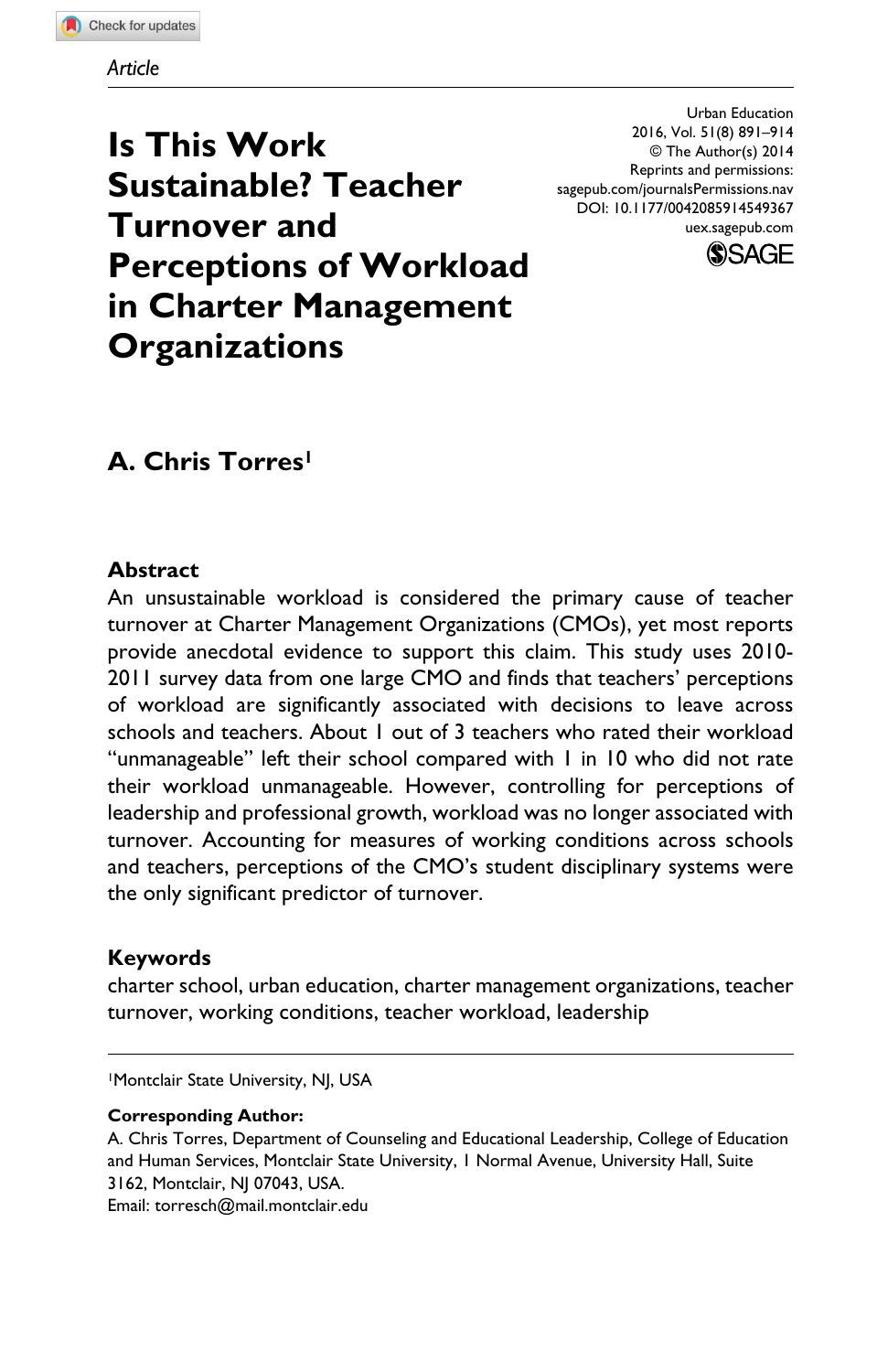**Is This Work Sustainable? Teacher Turnover and Perceptions of Workload in Charter Management Organizations**

Urban Education 2016, Vol. 51(8) 891–914 © The Author(s) 2014 Reprints and permissions: sagepub.com/journalsPermissions.nav DOI: 10.1177/0042085914549367 uex.sagepub.com



# **A. Chris Torres1**

### **Abstract**

An unsustainable workload is considered the primary cause of teacher turnover at Charter Management Organizations (CMOs), yet most reports provide anecdotal evidence to support this claim. This study uses 2010- 2011 survey data from one large CMO and finds that teachers' perceptions of workload are significantly associated with decisions to leave across schools and teachers. About 1 out of 3 teachers who rated their workload "unmanageable" left their school compared with 1 in 10 who did not rate their workload unmanageable. However, controlling for perceptions of leadership and professional growth, workload was no longer associated with turnover. Accounting for measures of working conditions across schools and teachers, perceptions of the CMO's student disciplinary systems were the only significant predictor of turnover.

### **Keywords**

charter school, urban education, charter management organizations, teacher turnover, working conditions, teacher workload, leadership

1Montclair State University, NJ, USA

#### **Corresponding Author:**

A. Chris Torres, Department of Counseling and Educational Leadership, College of Education and Human Services, Montclair State University, 1 Normal Avenue, University Hall, Suite 3162, Montclair, NJ 07043, USA.

Email: [torresch@mail.montclair.edu](mailto:torresch@mail.montclair.edu)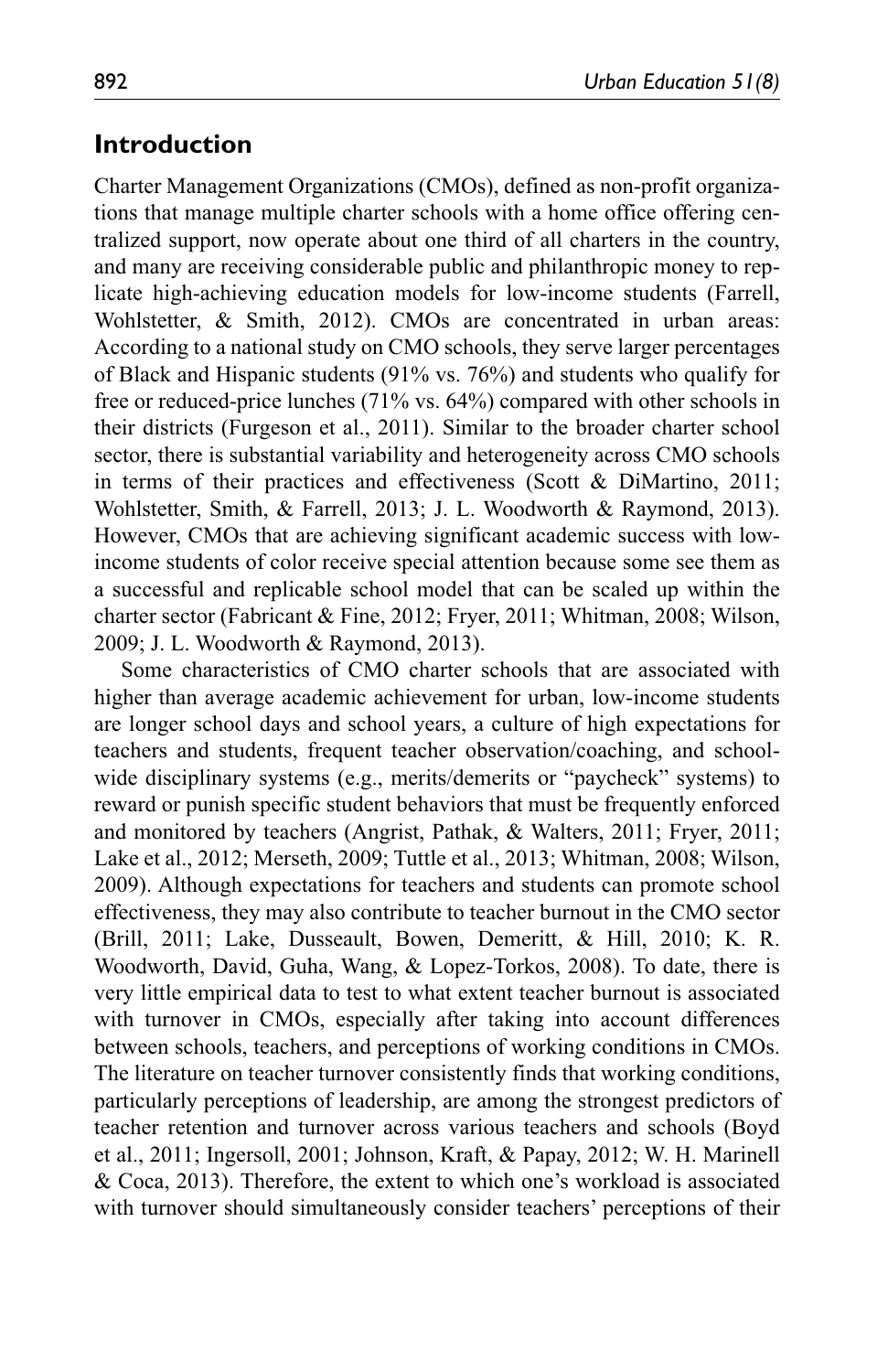## **Introduction**

Charter Management Organizations (CMOs), defined as non-profit organizations that manage multiple charter schools with a home office offering centralized support, now operate about one third of all charters in the country, and many are receiving considerable public and philanthropic money to replicate high-achieving education models for low-income students (Farrell, Wohlstetter, & Smith, 2012). CMOs are concentrated in urban areas: According to a national study on CMO schools, they serve larger percentages of Black and Hispanic students (91% vs. 76%) and students who qualify for free or reduced-price lunches (71% vs. 64%) compared with other schools in their districts (Furgeson et al., 2011). Similar to the broader charter school sector, there is substantial variability and heterogeneity across CMO schools in terms of their practices and effectiveness (Scott & DiMartino, 2011; Wohlstetter, Smith, & Farrell, 2013; J. L. Woodworth & Raymond, 2013). However, CMOs that are achieving significant academic success with lowincome students of color receive special attention because some see them as a successful and replicable school model that can be scaled up within the charter sector (Fabricant & Fine, 2012; Fryer, 2011; Whitman, 2008; Wilson, 2009; J. L. Woodworth & Raymond, 2013).

Some characteristics of CMO charter schools that are associated with higher than average academic achievement for urban, low-income students are longer school days and school years, a culture of high expectations for teachers and students, frequent teacher observation/coaching, and schoolwide disciplinary systems (e.g., merits/demerits or "paycheck" systems) to reward or punish specific student behaviors that must be frequently enforced and monitored by teachers (Angrist, Pathak, & Walters, 2011; Fryer, 2011; Lake et al., 2012; Merseth, 2009; Tuttle et al., 2013; Whitman, 2008; Wilson, 2009). Although expectations for teachers and students can promote school effectiveness, they may also contribute to teacher burnout in the CMO sector (Brill, 2011; Lake, Dusseault, Bowen, Demeritt, & Hill, 2010; K. R. Woodworth, David, Guha, Wang, & Lopez-Torkos, 2008). To date, there is very little empirical data to test to what extent teacher burnout is associated with turnover in CMOs, especially after taking into account differences between schools, teachers, and perceptions of working conditions in CMOs. The literature on teacher turnover consistently finds that working conditions, particularly perceptions of leadership, are among the strongest predictors of teacher retention and turnover across various teachers and schools (Boyd et al., 2011; Ingersoll, 2001; Johnson, Kraft, & Papay, 2012; W. H. Marinell & Coca, 2013). Therefore, the extent to which one's workload is associated with turnover should simultaneously consider teachers' perceptions of their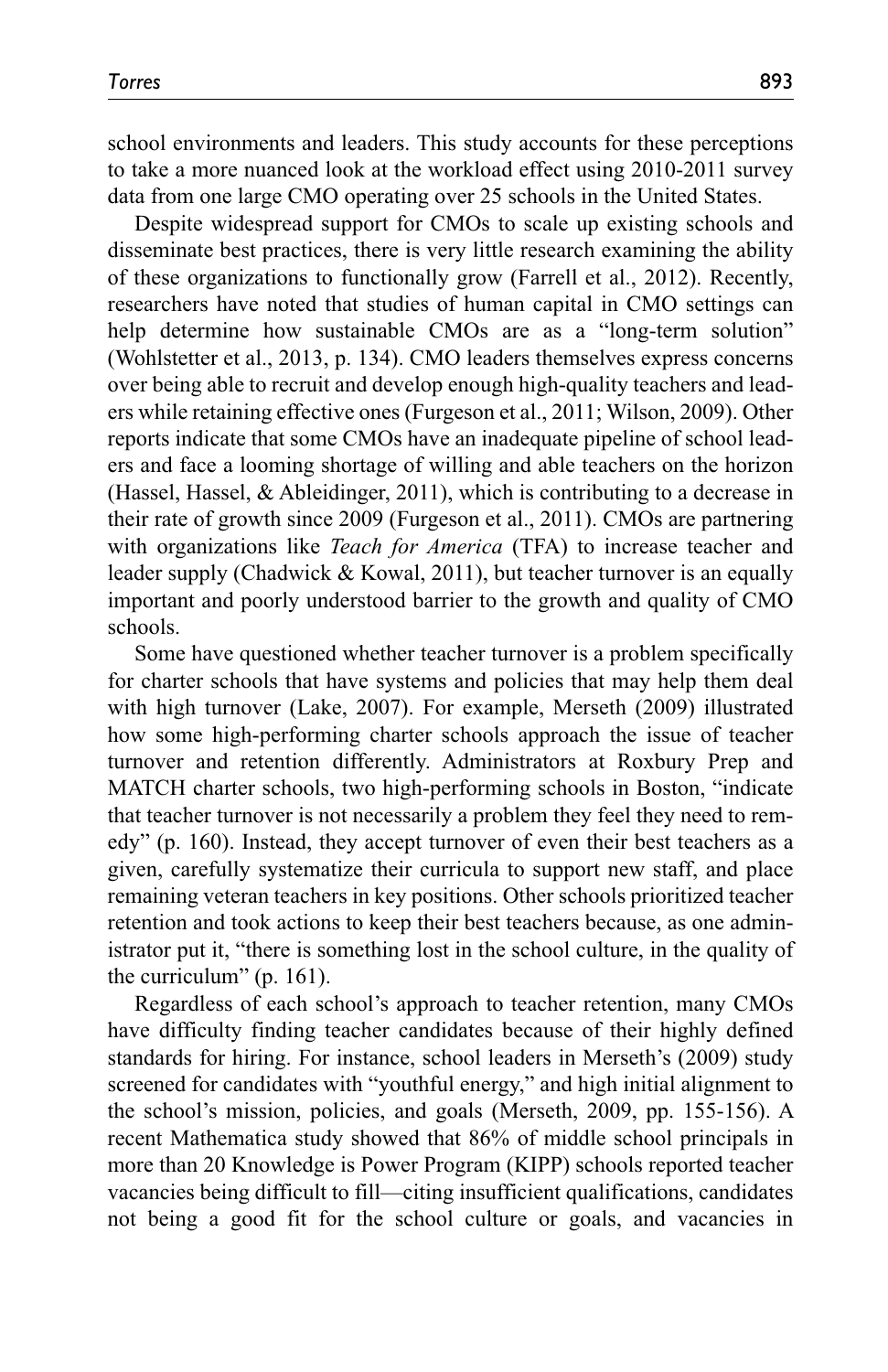school environments and leaders. This study accounts for these perceptions to take a more nuanced look at the workload effect using 2010-2011 survey data from one large CMO operating over 25 schools in the United States.

Despite widespread support for CMOs to scale up existing schools and disseminate best practices, there is very little research examining the ability of these organizations to functionally grow (Farrell et al., 2012). Recently, researchers have noted that studies of human capital in CMO settings can help determine how sustainable CMOs are as a "long-term solution" (Wohlstetter et al., 2013, p. 134). CMO leaders themselves express concerns over being able to recruit and develop enough high-quality teachers and leaders while retaining effective ones (Furgeson et al., 2011; Wilson, 2009). Other reports indicate that some CMOs have an inadequate pipeline of school leaders and face a looming shortage of willing and able teachers on the horizon (Hassel, Hassel, & Ableidinger, 2011), which is contributing to a decrease in their rate of growth since 2009 (Furgeson et al., 2011). CMOs are partnering with organizations like *Teach for America* (TFA) to increase teacher and leader supply (Chadwick & Kowal, 2011), but teacher turnover is an equally important and poorly understood barrier to the growth and quality of CMO schools.

Some have questioned whether teacher turnover is a problem specifically for charter schools that have systems and policies that may help them deal with high turnover (Lake, 2007). For example, Merseth (2009) illustrated how some high-performing charter schools approach the issue of teacher turnover and retention differently. Administrators at Roxbury Prep and MATCH charter schools, two high-performing schools in Boston, "indicate that teacher turnover is not necessarily a problem they feel they need to remedy" (p. 160). Instead, they accept turnover of even their best teachers as a given, carefully systematize their curricula to support new staff, and place remaining veteran teachers in key positions. Other schools prioritized teacher retention and took actions to keep their best teachers because, as one administrator put it, "there is something lost in the school culture, in the quality of the curriculum" (p. 161).

Regardless of each school's approach to teacher retention, many CMOs have difficulty finding teacher candidates because of their highly defined standards for hiring. For instance, school leaders in Merseth's (2009) study screened for candidates with "youthful energy," and high initial alignment to the school's mission, policies, and goals (Merseth, 2009, pp. 155-156). A recent Mathematica study showed that 86% of middle school principals in more than 20 Knowledge is Power Program (KIPP) schools reported teacher vacancies being difficult to fill—citing insufficient qualifications, candidates not being a good fit for the school culture or goals, and vacancies in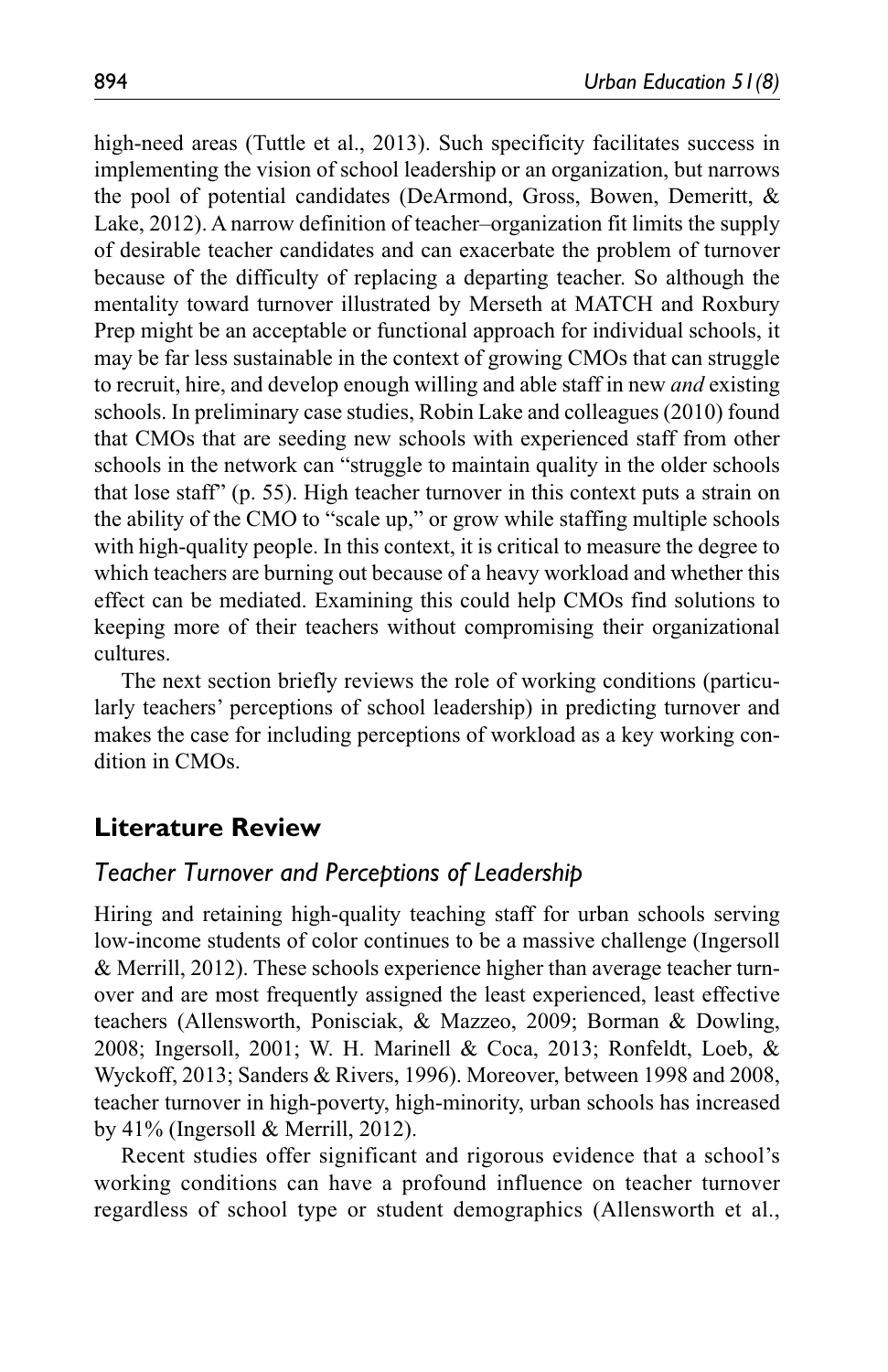high-need areas (Tuttle et al., 2013). Such specificity facilitates success in implementing the vision of school leadership or an organization, but narrows the pool of potential candidates (DeArmond, Gross, Bowen, Demeritt, & Lake, 2012). A narrow definition of teacher–organization fit limits the supply of desirable teacher candidates and can exacerbate the problem of turnover because of the difficulty of replacing a departing teacher. So although the mentality toward turnover illustrated by Merseth at MATCH and Roxbury Prep might be an acceptable or functional approach for individual schools, it may be far less sustainable in the context of growing CMOs that can struggle to recruit, hire, and develop enough willing and able staff in new *and* existing schools. In preliminary case studies, Robin Lake and colleagues (2010) found that CMOs that are seeding new schools with experienced staff from other schools in the network can "struggle to maintain quality in the older schools that lose staff" (p. 55). High teacher turnover in this context puts a strain on the ability of the CMO to "scale up," or grow while staffing multiple schools with high-quality people. In this context, it is critical to measure the degree to which teachers are burning out because of a heavy workload and whether this effect can be mediated. Examining this could help CMOs find solutions to keeping more of their teachers without compromising their organizational cultures.

The next section briefly reviews the role of working conditions (particularly teachers' perceptions of school leadership) in predicting turnover and makes the case for including perceptions of workload as a key working condition in CMOs.

# **Literature Review**

### *Teacher Turnover and Perceptions of Leadership*

Hiring and retaining high-quality teaching staff for urban schools serving low-income students of color continues to be a massive challenge (Ingersoll & Merrill, 2012). These schools experience higher than average teacher turnover and are most frequently assigned the least experienced, least effective teachers (Allensworth, Ponisciak, & Mazzeo, 2009; Borman & Dowling, 2008; Ingersoll, 2001; W. H. Marinell & Coca, 2013; Ronfeldt, Loeb, & Wyckoff, 2013; Sanders & Rivers, 1996). Moreover, between 1998 and 2008, teacher turnover in high-poverty, high-minority, urban schools has increased by 41% (Ingersoll & Merrill, 2012).

Recent studies offer significant and rigorous evidence that a school's working conditions can have a profound influence on teacher turnover regardless of school type or student demographics (Allensworth et al.,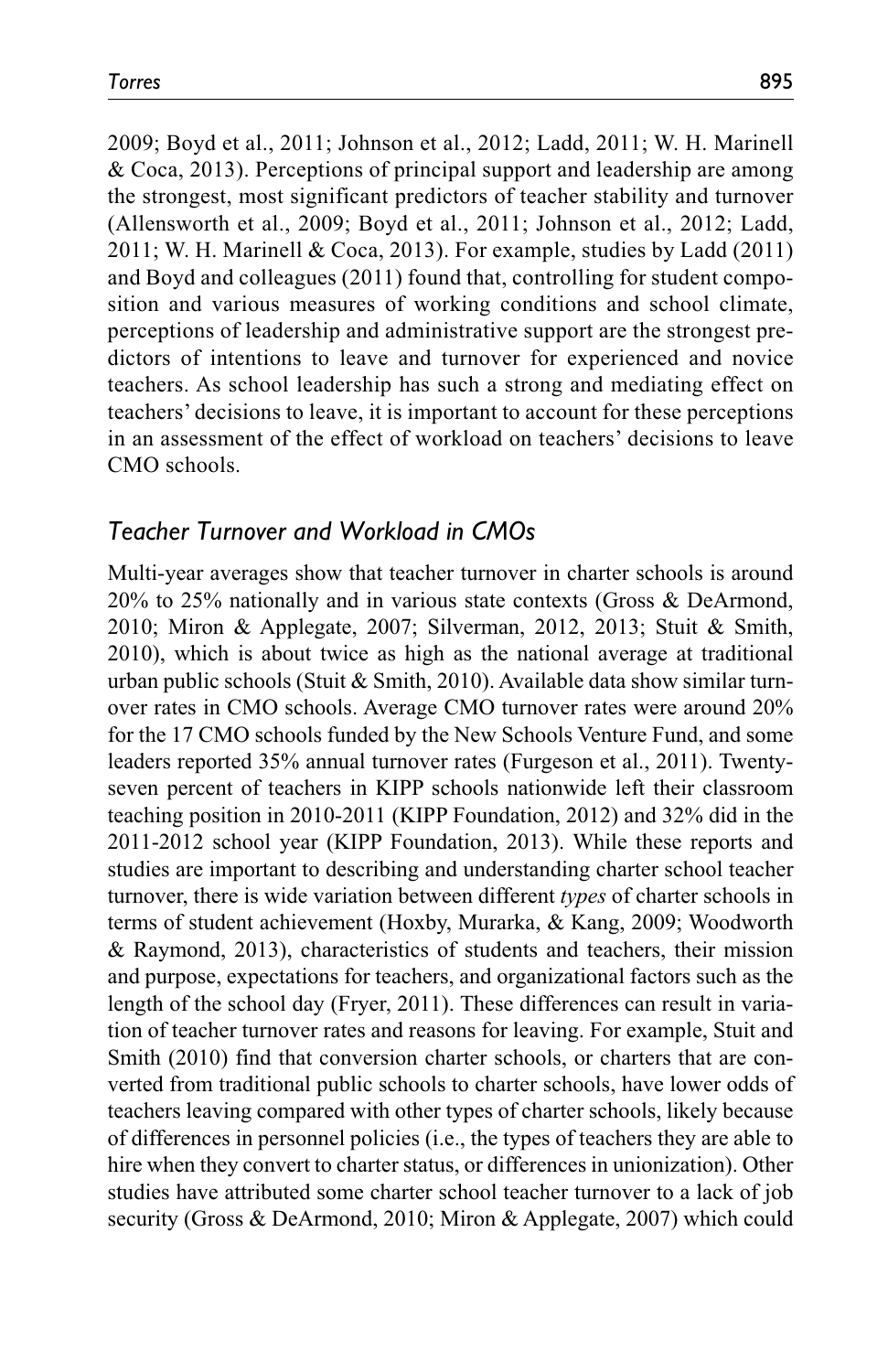2009; Boyd et al., 2011; Johnson et al., 2012; Ladd, 2011; W. H. Marinell & Coca, 2013). Perceptions of principal support and leadership are among the strongest, most significant predictors of teacher stability and turnover (Allensworth et al., 2009; Boyd et al., 2011; Johnson et al., 2012; Ladd, 2011; W. H. Marinell & Coca, 2013). For example, studies by Ladd (2011) and Boyd and colleagues (2011) found that, controlling for student composition and various measures of working conditions and school climate, perceptions of leadership and administrative support are the strongest predictors of intentions to leave and turnover for experienced and novice teachers. As school leadership has such a strong and mediating effect on teachers' decisions to leave, it is important to account for these perceptions in an assessment of the effect of workload on teachers' decisions to leave CMO schools.

### *Teacher Turnover and Workload in CMOs*

Multi-year averages show that teacher turnover in charter schools is around 20% to 25% nationally and in various state contexts (Gross & DeArmond, 2010; Miron & Applegate, 2007; Silverman, 2012, 2013; Stuit & Smith, 2010), which is about twice as high as the national average at traditional urban public schools (Stuit & Smith, 2010). Available data show similar turnover rates in CMO schools. Average CMO turnover rates were around 20% for the 17 CMO schools funded by the New Schools Venture Fund, and some leaders reported 35% annual turnover rates (Furgeson et al., 2011). Twentyseven percent of teachers in KIPP schools nationwide left their classroom teaching position in 2010-2011 (KIPP Foundation, 2012) and 32% did in the 2011-2012 school year (KIPP Foundation, 2013). While these reports and studies are important to describing and understanding charter school teacher turnover, there is wide variation between different *types* of charter schools in terms of student achievement (Hoxby, Murarka, & Kang, 2009; Woodworth & Raymond, 2013), characteristics of students and teachers, their mission and purpose, expectations for teachers, and organizational factors such as the length of the school day (Fryer, 2011). These differences can result in variation of teacher turnover rates and reasons for leaving. For example, Stuit and Smith (2010) find that conversion charter schools, or charters that are converted from traditional public schools to charter schools, have lower odds of teachers leaving compared with other types of charter schools, likely because of differences in personnel policies (i.e., the types of teachers they are able to hire when they convert to charter status, or differences in unionization). Other studies have attributed some charter school teacher turnover to a lack of job security (Gross & DeArmond, 2010; Miron & Applegate, 2007) which could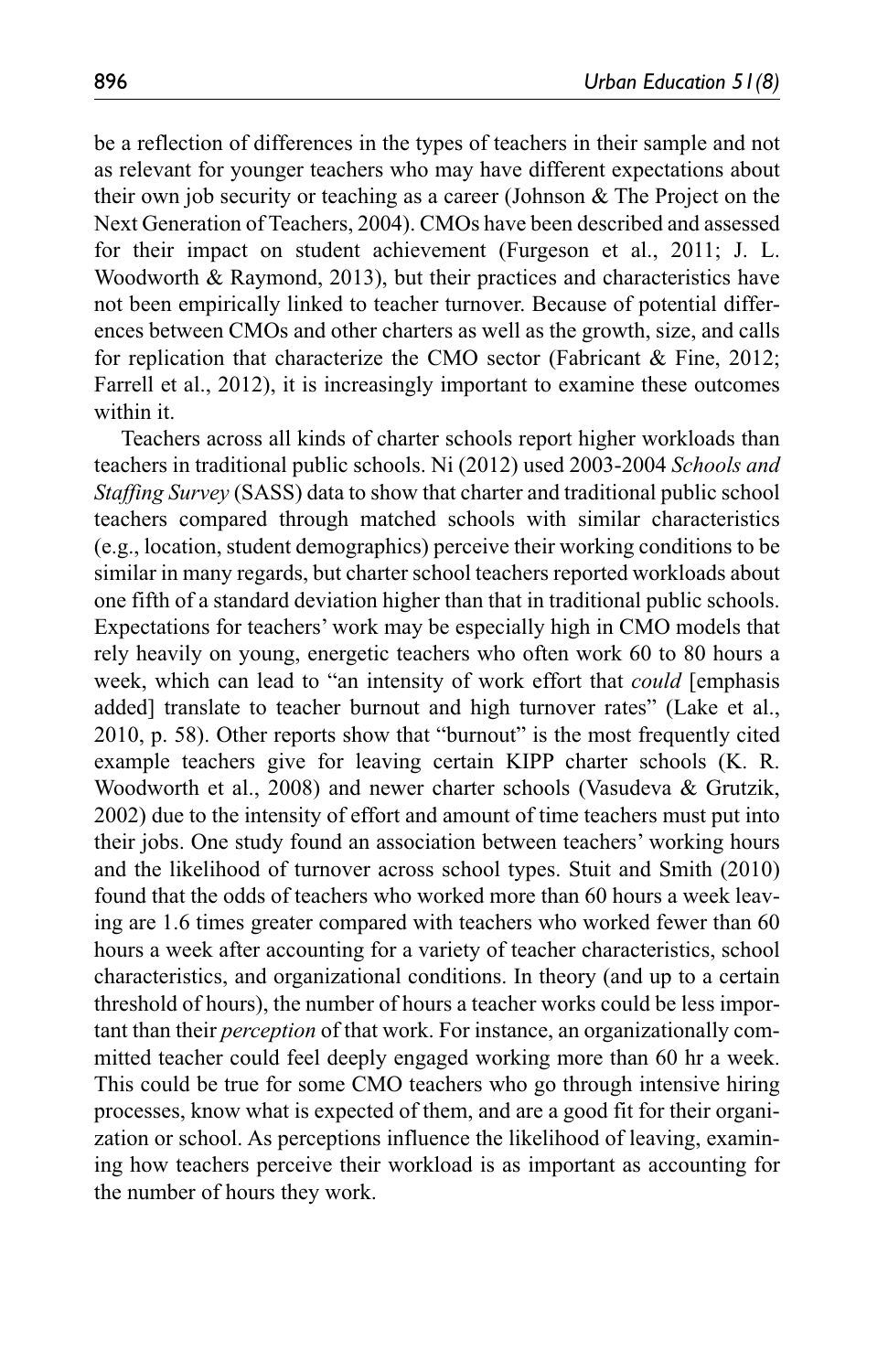be a reflection of differences in the types of teachers in their sample and not as relevant for younger teachers who may have different expectations about their own job security or teaching as a career (Johnson & The Project on the Next Generation of Teachers, 2004). CMOs have been described and assessed for their impact on student achievement (Furgeson et al., 2011; J. L. Woodworth & Raymond, 2013), but their practices and characteristics have not been empirically linked to teacher turnover. Because of potential differences between CMOs and other charters as well as the growth, size, and calls for replication that characterize the CMO sector (Fabricant & Fine, 2012; Farrell et al., 2012), it is increasingly important to examine these outcomes within it.

Teachers across all kinds of charter schools report higher workloads than teachers in traditional public schools. Ni (2012) used 2003-2004 *Schools and Staffing Survey* (SASS) data to show that charter and traditional public school teachers compared through matched schools with similar characteristics (e.g., location, student demographics) perceive their working conditions to be similar in many regards, but charter school teachers reported workloads about one fifth of a standard deviation higher than that in traditional public schools. Expectations for teachers' work may be especially high in CMO models that rely heavily on young, energetic teachers who often work 60 to 80 hours a week, which can lead to "an intensity of work effort that *could* [emphasis added] translate to teacher burnout and high turnover rates" (Lake et al., 2010, p. 58). Other reports show that "burnout" is the most frequently cited example teachers give for leaving certain KIPP charter schools (K. R. Woodworth et al., 2008) and newer charter schools (Vasudeva & Grutzik, 2002) due to the intensity of effort and amount of time teachers must put into their jobs. One study found an association between teachers' working hours and the likelihood of turnover across school types. Stuit and Smith (2010) found that the odds of teachers who worked more than 60 hours a week leaving are 1.6 times greater compared with teachers who worked fewer than 60 hours a week after accounting for a variety of teacher characteristics, school characteristics, and organizational conditions. In theory (and up to a certain threshold of hours), the number of hours a teacher works could be less important than their *perception* of that work. For instance, an organizationally committed teacher could feel deeply engaged working more than 60 hr a week. This could be true for some CMO teachers who go through intensive hiring processes, know what is expected of them, and are a good fit for their organization or school. As perceptions influence the likelihood of leaving, examining how teachers perceive their workload is as important as accounting for the number of hours they work.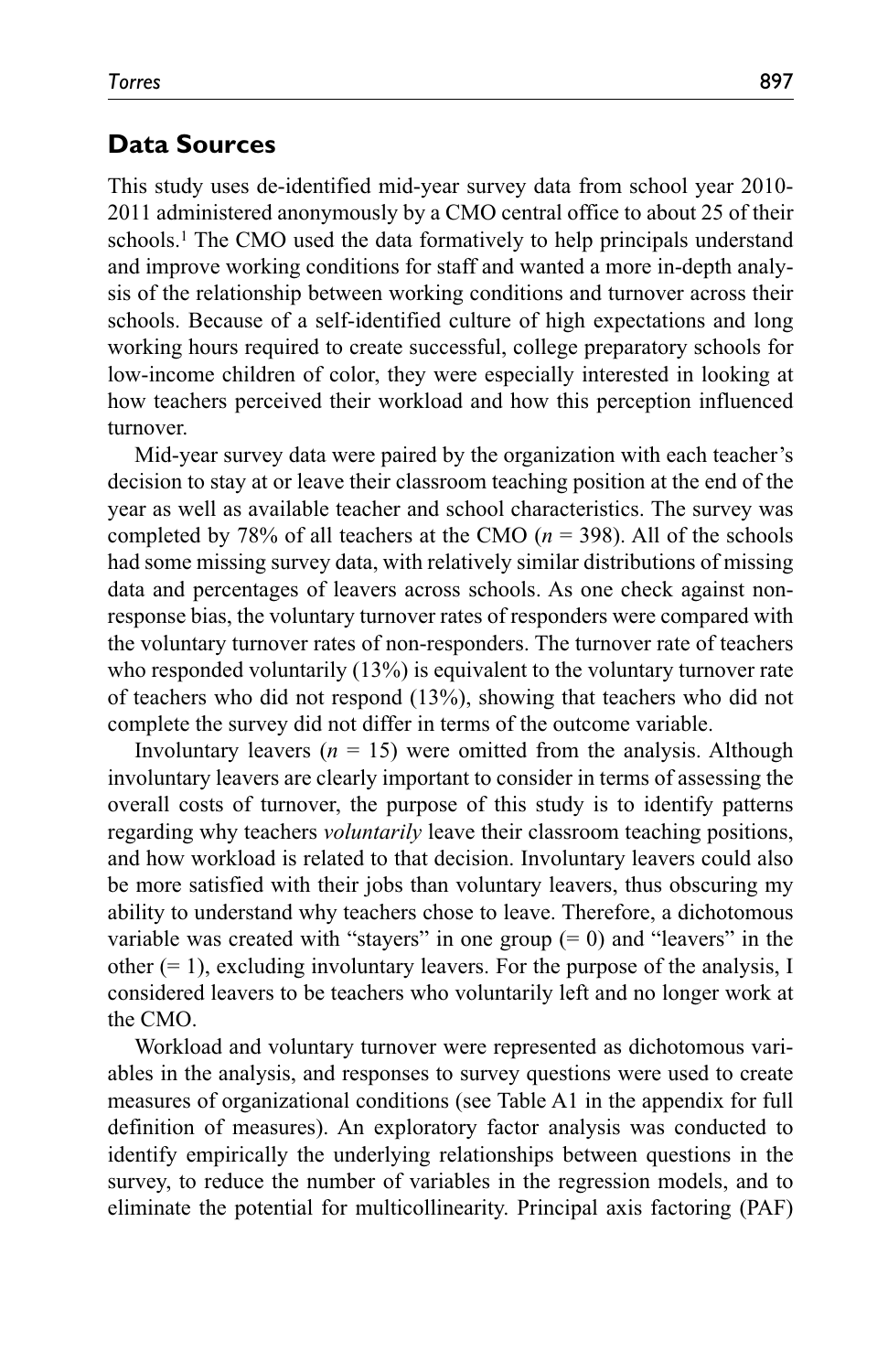### **Data Sources**

This study uses de-identified mid-year survey data from school year 2010- 2011 administered anonymously by a CMO central office to about 25 of their schools.1 The CMO used the data formatively to help principals understand and improve working conditions for staff and wanted a more in-depth analysis of the relationship between working conditions and turnover across their schools. Because of a self-identified culture of high expectations and long working hours required to create successful, college preparatory schools for low-income children of color, they were especially interested in looking at how teachers perceived their workload and how this perception influenced turnover.

Mid-year survey data were paired by the organization with each teacher's decision to stay at or leave their classroom teaching position at the end of the year as well as available teacher and school characteristics. The survey was completed by 78% of all teachers at the CMO (*n* = 398). All of the schools had some missing survey data, with relatively similar distributions of missing data and percentages of leavers across schools. As one check against nonresponse bias, the voluntary turnover rates of responders were compared with the voluntary turnover rates of non-responders. The turnover rate of teachers who responded voluntarily (13%) is equivalent to the voluntary turnover rate of teachers who did not respond (13%), showing that teachers who did not complete the survey did not differ in terms of the outcome variable.

Involuntary leavers  $(n = 15)$  were omitted from the analysis. Although involuntary leavers are clearly important to consider in terms of assessing the overall costs of turnover, the purpose of this study is to identify patterns regarding why teachers *voluntarily* leave their classroom teaching positions, and how workload is related to that decision. Involuntary leavers could also be more satisfied with their jobs than voluntary leavers, thus obscuring my ability to understand why teachers chose to leave. Therefore, a dichotomous variable was created with "stayers" in one group  $(= 0)$  and "leavers" in the other  $(= 1)$ , excluding involuntary leavers. For the purpose of the analysis, I considered leavers to be teachers who voluntarily left and no longer work at the CMO.

Workload and voluntary turnover were represented as dichotomous variables in the analysis, and responses to survey questions were used to create measures of organizational conditions (see Table A1 in the appendix for full definition of measures). An exploratory factor analysis was conducted to identify empirically the underlying relationships between questions in the survey, to reduce the number of variables in the regression models, and to eliminate the potential for multicollinearity. Principal axis factoring (PAF)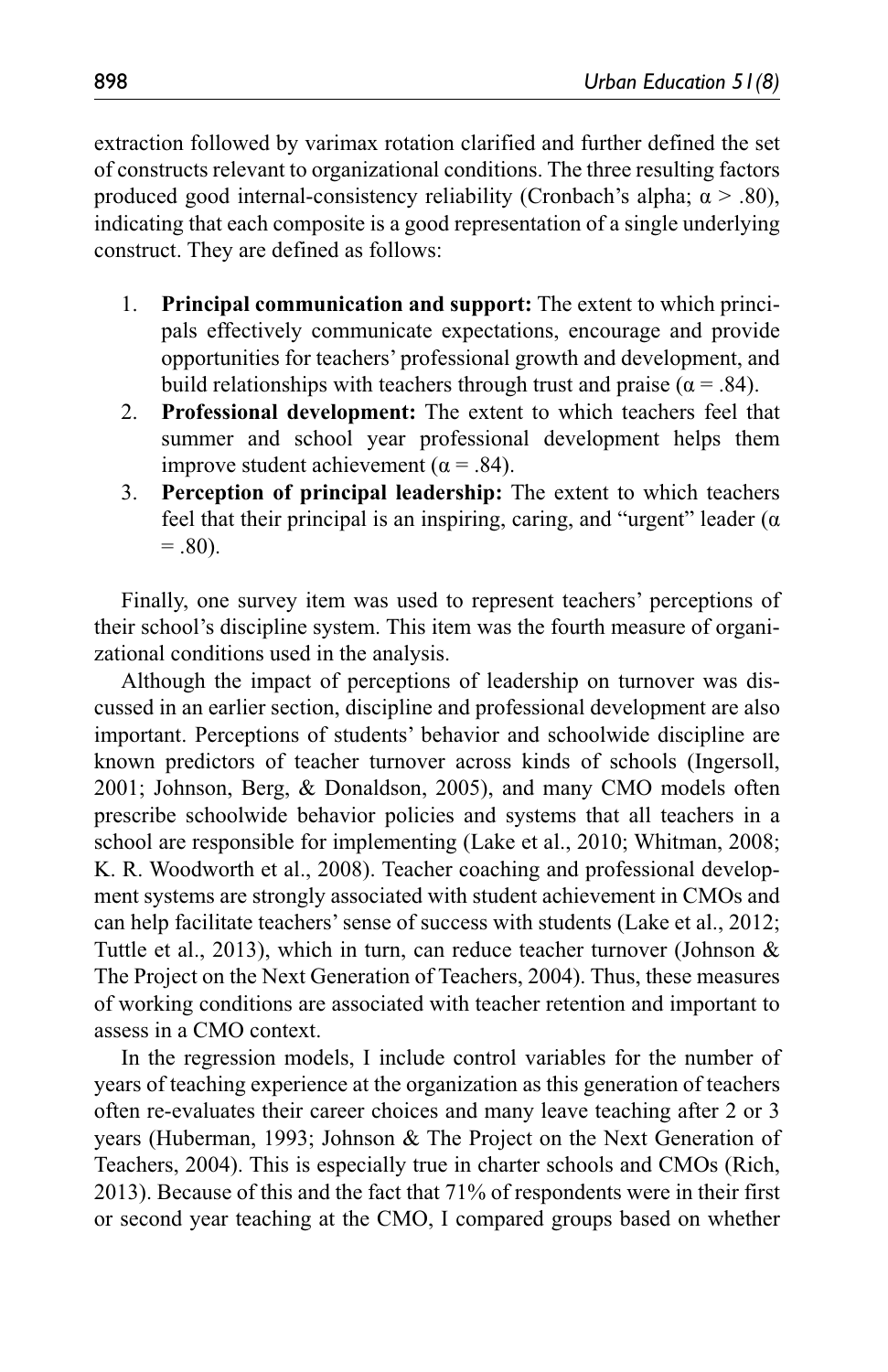extraction followed by varimax rotation clarified and further defined the set of constructs relevant to organizational conditions. The three resulting factors produced good internal-consistency reliability (Cronbach's alpha;  $\alpha$  > .80), indicating that each composite is a good representation of a single underlying construct. They are defined as follows:

- 1. **Principal communication and support:** The extent to which principals effectively communicate expectations, encourage and provide opportunities for teachers' professional growth and development, and build relationships with teachers through trust and praise ( $\alpha = .84$ ).
- 2. **Professional development:** The extent to which teachers feel that summer and school year professional development helps them improve student achievement ( $α = .84$ ).
- 3. **Perception of principal leadership:** The extent to which teachers feel that their principal is an inspiring, caring, and "urgent" leader  $(\alpha$  $= .80$ ).

Finally, one survey item was used to represent teachers' perceptions of their school's discipline system. This item was the fourth measure of organizational conditions used in the analysis.

Although the impact of perceptions of leadership on turnover was discussed in an earlier section, discipline and professional development are also important. Perceptions of students' behavior and schoolwide discipline are known predictors of teacher turnover across kinds of schools (Ingersoll, 2001; Johnson, Berg, & Donaldson, 2005), and many CMO models often prescribe schoolwide behavior policies and systems that all teachers in a school are responsible for implementing (Lake et al., 2010; Whitman, 2008; K. R. Woodworth et al., 2008). Teacher coaching and professional development systems are strongly associated with student achievement in CMOs and can help facilitate teachers' sense of success with students (Lake et al., 2012; Tuttle et al., 2013), which in turn, can reduce teacher turnover (Johnson & The Project on the Next Generation of Teachers, 2004). Thus, these measures of working conditions are associated with teacher retention and important to assess in a CMO context.

In the regression models, I include control variables for the number of years of teaching experience at the organization as this generation of teachers often re-evaluates their career choices and many leave teaching after 2 or 3 years (Huberman, 1993; Johnson & The Project on the Next Generation of Teachers, 2004). This is especially true in charter schools and CMOs (Rich, 2013). Because of this and the fact that 71% of respondents were in their first or second year teaching at the CMO, I compared groups based on whether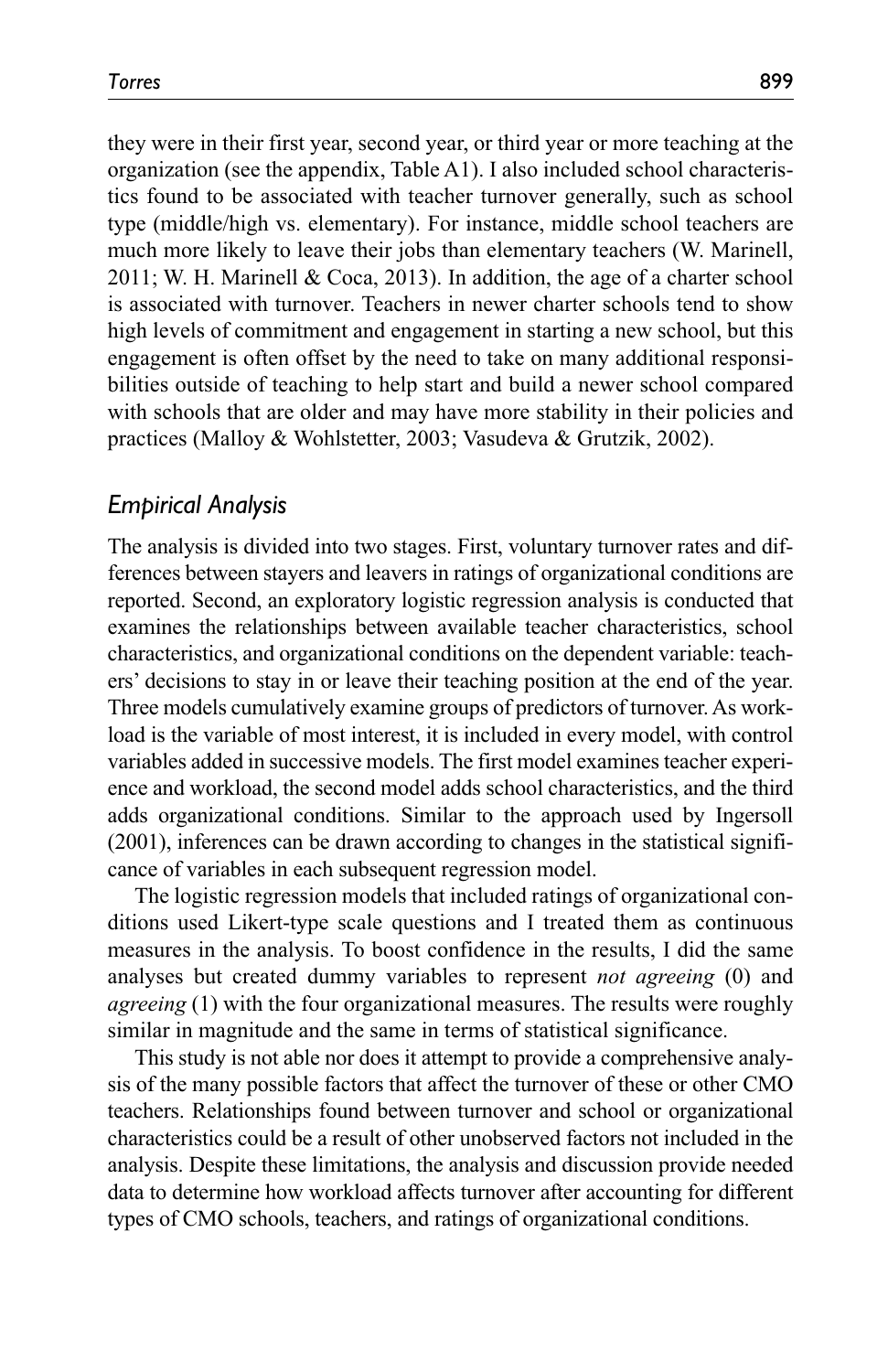they were in their first year, second year, or third year or more teaching at the organization (see the appendix, Table A1). I also included school characteristics found to be associated with teacher turnover generally, such as school type (middle/high vs. elementary). For instance, middle school teachers are much more likely to leave their jobs than elementary teachers (W. Marinell, 2011; W. H. Marinell & Coca, 2013). In addition, the age of a charter school is associated with turnover. Teachers in newer charter schools tend to show high levels of commitment and engagement in starting a new school, but this engagement is often offset by the need to take on many additional responsibilities outside of teaching to help start and build a newer school compared with schools that are older and may have more stability in their policies and practices (Malloy & Wohlstetter, 2003; Vasudeva & Grutzik, 2002).

## *Empirical Analysis*

The analysis is divided into two stages. First, voluntary turnover rates and differences between stayers and leavers in ratings of organizational conditions are reported. Second, an exploratory logistic regression analysis is conducted that examines the relationships between available teacher characteristics, school characteristics, and organizational conditions on the dependent variable: teachers' decisions to stay in or leave their teaching position at the end of the year. Three models cumulatively examine groups of predictors of turnover. As workload is the variable of most interest, it is included in every model, with control variables added in successive models. The first model examines teacher experience and workload, the second model adds school characteristics, and the third adds organizational conditions. Similar to the approach used by Ingersoll (2001), inferences can be drawn according to changes in the statistical significance of variables in each subsequent regression model.

The logistic regression models that included ratings of organizational conditions used Likert-type scale questions and I treated them as continuous measures in the analysis. To boost confidence in the results, I did the same analyses but created dummy variables to represent *not agreeing* (0) and *agreeing* (1) with the four organizational measures. The results were roughly similar in magnitude and the same in terms of statistical significance.

This study is not able nor does it attempt to provide a comprehensive analysis of the many possible factors that affect the turnover of these or other CMO teachers. Relationships found between turnover and school or organizational characteristics could be a result of other unobserved factors not included in the analysis. Despite these limitations, the analysis and discussion provide needed data to determine how workload affects turnover after accounting for different types of CMO schools, teachers, and ratings of organizational conditions.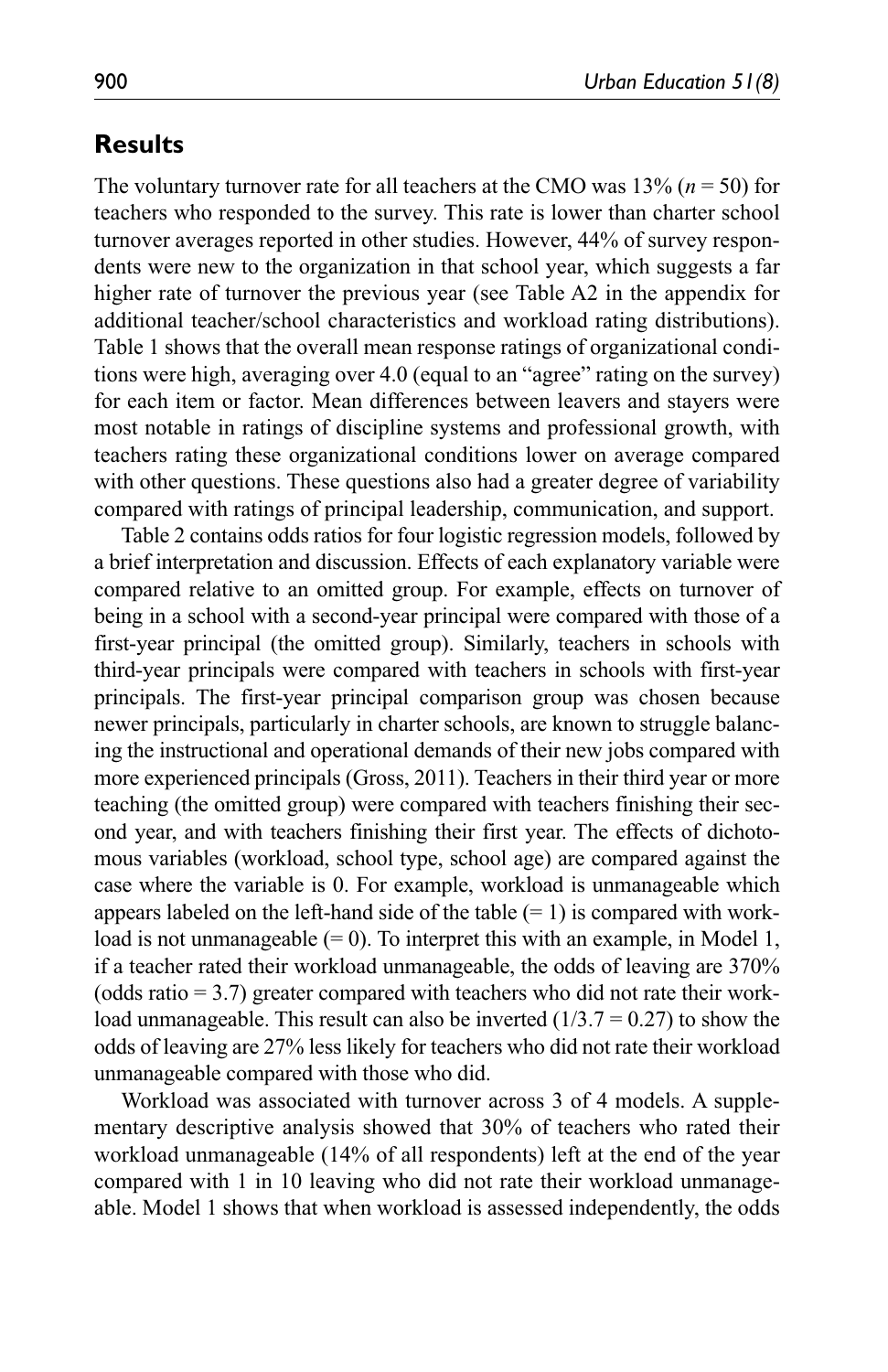# **Results**

The voluntary turnover rate for all teachers at the CMO was  $13\%$  ( $n = 50$ ) for teachers who responded to the survey. This rate is lower than charter school turnover averages reported in other studies. However, 44% of survey respondents were new to the organization in that school year, which suggests a far higher rate of turnover the previous year (see Table A2 in the appendix for additional teacher/school characteristics and workload rating distributions). Table 1 shows that the overall mean response ratings of organizational conditions were high, averaging over 4.0 (equal to an "agree" rating on the survey) for each item or factor. Mean differences between leavers and stayers were most notable in ratings of discipline systems and professional growth, with teachers rating these organizational conditions lower on average compared with other questions. These questions also had a greater degree of variability compared with ratings of principal leadership, communication, and support.

Table 2 contains odds ratios for four logistic regression models, followed by a brief interpretation and discussion. Effects of each explanatory variable were compared relative to an omitted group. For example, effects on turnover of being in a school with a second-year principal were compared with those of a first-year principal (the omitted group). Similarly, teachers in schools with third-year principals were compared with teachers in schools with first-year principals. The first-year principal comparison group was chosen because newer principals, particularly in charter schools, are known to struggle balancing the instructional and operational demands of their new jobs compared with more experienced principals (Gross, 2011). Teachers in their third year or more teaching (the omitted group) were compared with teachers finishing their second year, and with teachers finishing their first year. The effects of dichotomous variables (workload, school type, school age) are compared against the case where the variable is 0. For example, workload is unmanageable which appears labeled on the left-hand side of the table  $(= 1)$  is compared with workload is not unmanageable  $(= 0)$ . To interpret this with an example, in Model 1, if a teacher rated their workload unmanageable, the odds of leaving are 370% (odds ratio  $= 3.7$ ) greater compared with teachers who did not rate their workload unmanageable. This result can also be inverted  $(1/3.7 = 0.27)$  to show the odds of leaving are 27% less likely for teachers who did not rate their workload unmanageable compared with those who did.

Workload was associated with turnover across 3 of 4 models. A supplementary descriptive analysis showed that 30% of teachers who rated their workload unmanageable (14% of all respondents) left at the end of the year compared with 1 in 10 leaving who did not rate their workload unmanageable. Model 1 shows that when workload is assessed independently, the odds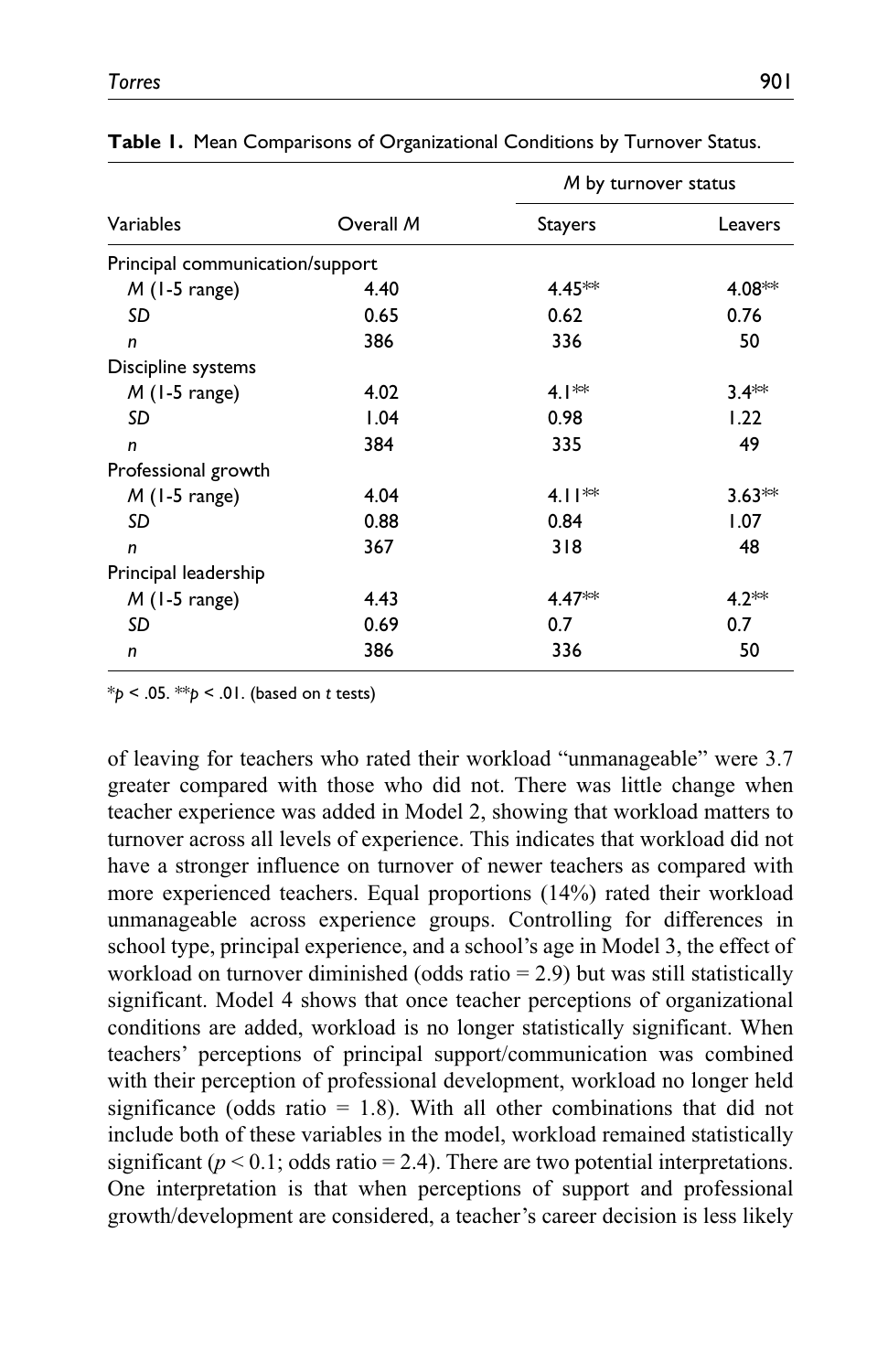|                                 |           | M by turnover status |          |  |  |
|---------------------------------|-----------|----------------------|----------|--|--|
| Variables                       | Overall M | <b>Stayers</b>       | Leavers  |  |  |
| Principal communication/support |           |                      |          |  |  |
| $M$ (1-5 range)                 | 4.40      | $4.45**$             | $4.08**$ |  |  |
| SD                              | 0.65      | 0.62                 | 0.76     |  |  |
| n                               | 386       | 336                  | 50       |  |  |
| Discipline systems              |           |                      |          |  |  |
| $M$ (1-5 range)                 | 4.02      | 4. $\mathsf{I}^*$    | $3.4**$  |  |  |
| SD                              | 1.04      | 0.98                 | 1.22     |  |  |
| n                               | 384       | 335                  | 49       |  |  |
| Professional growth             |           |                      |          |  |  |
| $M$ (1-5 range)                 | 4.04      | 4.1 $\mathsf{I}^*$   | $3.63**$ |  |  |
| SD                              | 0.88      | 0.84                 | 1.07     |  |  |
| $\mathsf{n}$                    | 367       | 318                  | 48       |  |  |
| Principal leadership            |           |                      |          |  |  |
| $M$ (1-5 range)                 | 4.43      | $4.47**$             | $4.2**$  |  |  |
| SD                              | 0.69      | 0.7                  | 0.7      |  |  |
| n                               | 386       | 336                  | 50       |  |  |

**Table 1.** Mean Comparisons of Organizational Conditions by Turnover Status.

\**p* < .05. \*\**p* < .01. (based on *t* tests)

of leaving for teachers who rated their workload "unmanageable" were 3.7 greater compared with those who did not. There was little change when teacher experience was added in Model 2, showing that workload matters to turnover across all levels of experience. This indicates that workload did not have a stronger influence on turnover of newer teachers as compared with more experienced teachers. Equal proportions (14%) rated their workload unmanageable across experience groups. Controlling for differences in school type, principal experience, and a school's age in Model 3, the effect of workload on turnover diminished (odds ratio  $= 2.9$ ) but was still statistically significant. Model 4 shows that once teacher perceptions of organizational conditions are added, workload is no longer statistically significant. When teachers' perceptions of principal support/communication was combined with their perception of professional development, workload no longer held significance (odds ratio  $= 1.8$ ). With all other combinations that did not include both of these variables in the model, workload remained statistically significant ( $p < 0.1$ ; odds ratio = 2.4). There are two potential interpretations. One interpretation is that when perceptions of support and professional growth/development are considered, a teacher's career decision is less likely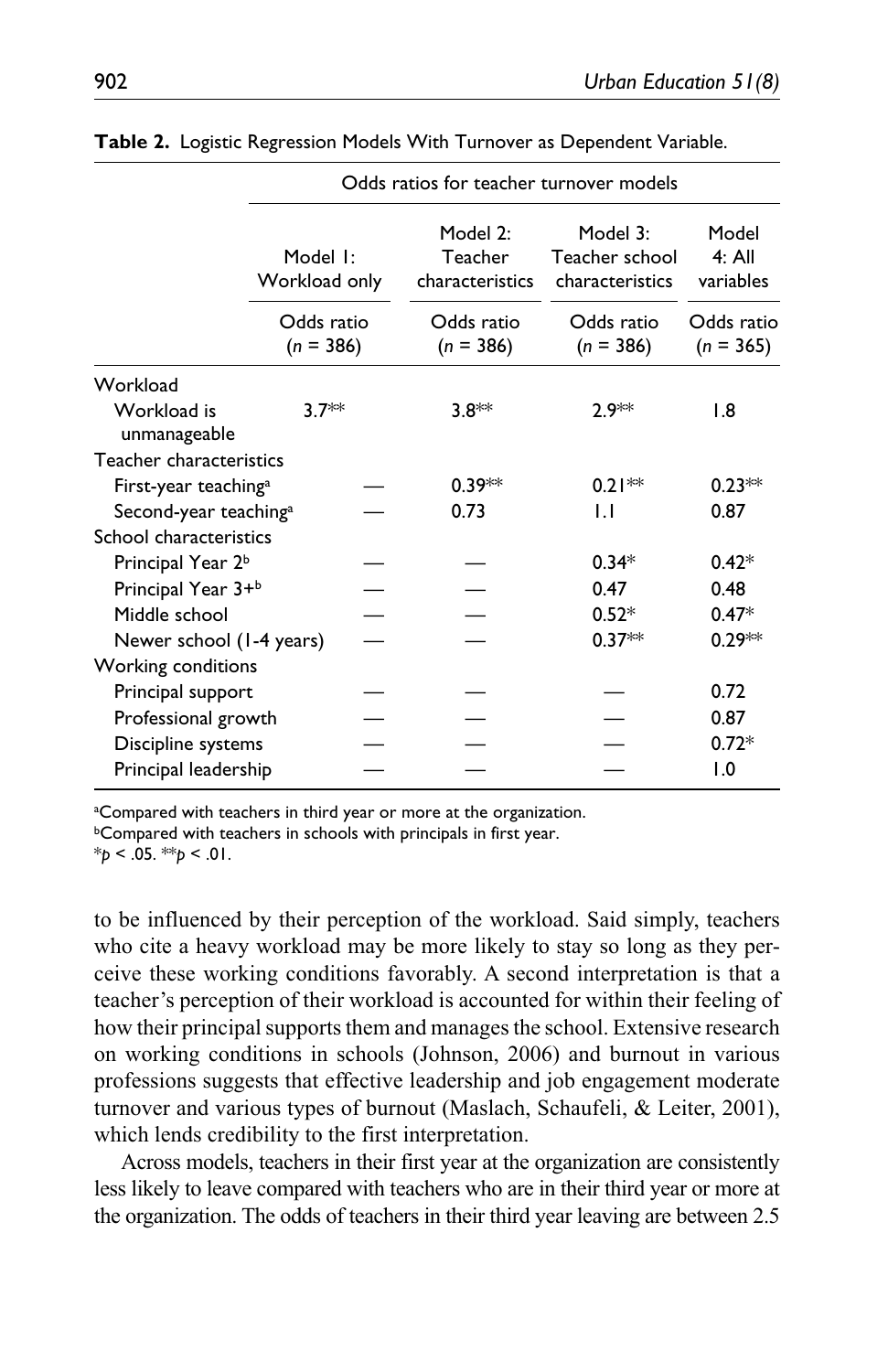|                                   | Odds ratios for teacher turnover models |  |                                        |                                               |                                |  |  |
|-----------------------------------|-----------------------------------------|--|----------------------------------------|-----------------------------------------------|--------------------------------|--|--|
|                                   | Model I:<br>Workload only               |  | Model 2:<br>Teacher<br>characteristics | Model 3:<br>Teacher school<br>characteristics | Model<br>$4:$ All<br>variables |  |  |
|                                   | Odds ratio<br>$(n = 386)$               |  | Odds ratio<br>$(n = 386)$              | Odds ratio<br>$(n = 386)$                     | Odds ratio<br>$(n = 365)$      |  |  |
| Workload                          |                                         |  |                                        |                                               |                                |  |  |
| Workload is<br>unmanageable       | $3.7**$                                 |  | $3.8**$                                | ን 9**                                         | 1.8                            |  |  |
| Teacher characteristics           |                                         |  |                                        |                                               |                                |  |  |
| First-year teaching <sup>a</sup>  |                                         |  | $0.39**$                               | $0.21**$                                      | $0.23**$                       |  |  |
| Second-year teaching <sup>a</sup> |                                         |  | 0.73                                   | IJ                                            | 0.87                           |  |  |
| School characteristics            |                                         |  |                                        |                                               |                                |  |  |
| Principal Year 2 <sup>b</sup>     |                                         |  |                                        | $0.34*$                                       | $0.42*$                        |  |  |
| Principal Year 3+b                |                                         |  |                                        | 0.47                                          | 0.48                           |  |  |
| Middle school                     |                                         |  |                                        | $0.52*$                                       | $0.47*$                        |  |  |
| Newer school (1-4 years)          |                                         |  |                                        | $0.37**$                                      | $0.29**$                       |  |  |
| Working conditions                |                                         |  |                                        |                                               |                                |  |  |
| Principal support                 |                                         |  |                                        |                                               | 0.72                           |  |  |
| Professional growth               |                                         |  |                                        |                                               | 0.87                           |  |  |
| Discipline systems                |                                         |  |                                        |                                               | $0.72*$                        |  |  |
| Principal leadership              |                                         |  |                                        |                                               | 1.0                            |  |  |

**Table 2.** Logistic Regression Models With Turnover as Dependent Variable.

<sup>a</sup>Compared with teachers in third year or more at the organization.

**bCompared with teachers in schools with principals in first year.** 

\**p* < .05. \*\**p* < .01.

to be influenced by their perception of the workload. Said simply, teachers who cite a heavy workload may be more likely to stay so long as they perceive these working conditions favorably. A second interpretation is that a teacher's perception of their workload is accounted for within their feeling of how their principal supports them and manages the school. Extensive research on working conditions in schools (Johnson, 2006) and burnout in various professions suggests that effective leadership and job engagement moderate turnover and various types of burnout (Maslach, Schaufeli, & Leiter, 2001), which lends credibility to the first interpretation.

Across models, teachers in their first year at the organization are consistently less likely to leave compared with teachers who are in their third year or more at the organization. The odds of teachers in their third year leaving are between 2.5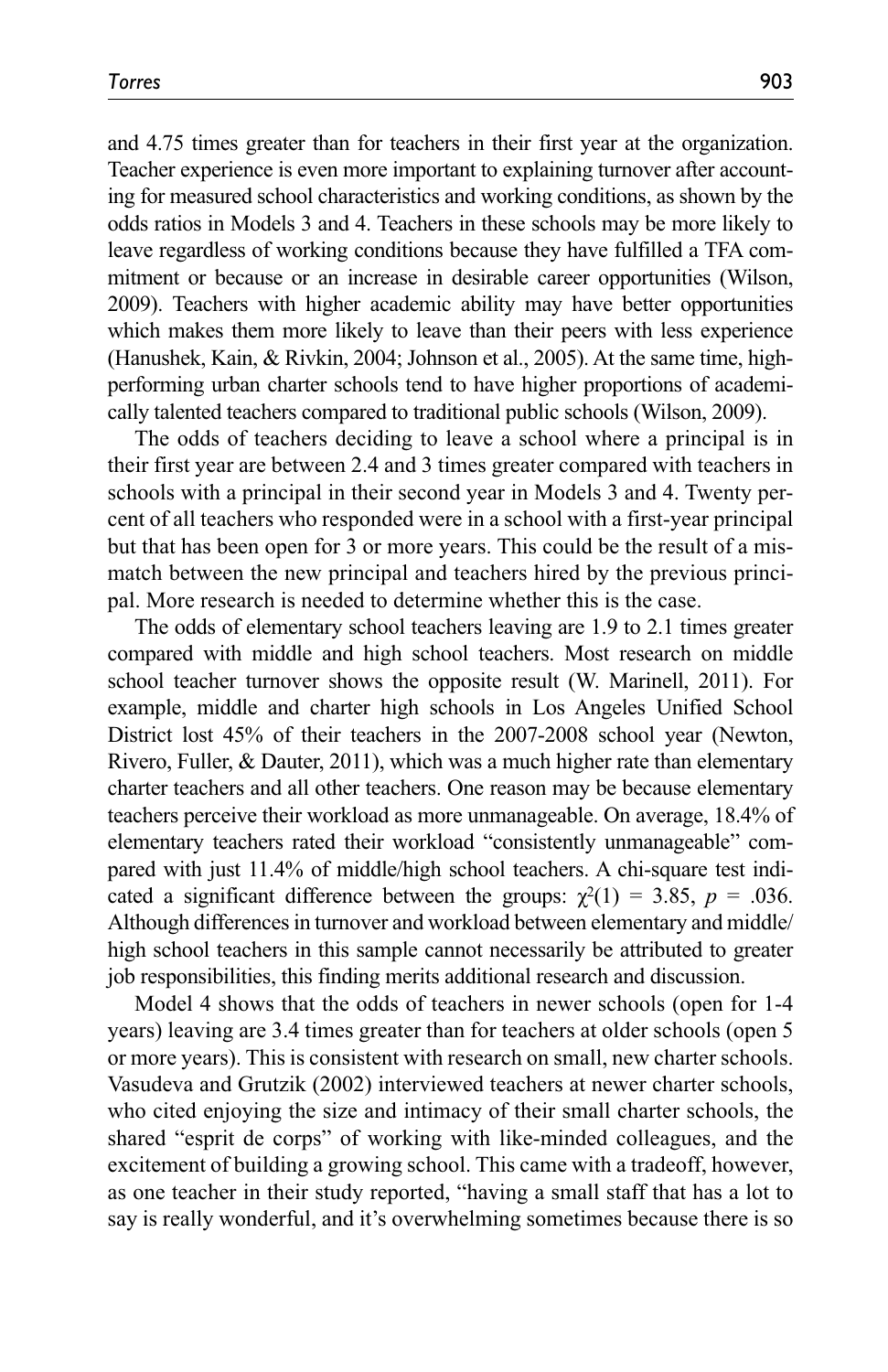and 4.75 times greater than for teachers in their first year at the organization. Teacher experience is even more important to explaining turnover after accounting for measured school characteristics and working conditions, as shown by the odds ratios in Models 3 and 4. Teachers in these schools may be more likely to leave regardless of working conditions because they have fulfilled a TFA commitment or because or an increase in desirable career opportunities (Wilson, 2009). Teachers with higher academic ability may have better opportunities which makes them more likely to leave than their peers with less experience (Hanushek, Kain, & Rivkin, 2004; Johnson et al., 2005). At the same time, highperforming urban charter schools tend to have higher proportions of academically talented teachers compared to traditional public schools (Wilson, 2009).

The odds of teachers deciding to leave a school where a principal is in their first year are between 2.4 and 3 times greater compared with teachers in schools with a principal in their second year in Models 3 and 4. Twenty percent of all teachers who responded were in a school with a first-year principal but that has been open for 3 or more years. This could be the result of a mismatch between the new principal and teachers hired by the previous principal. More research is needed to determine whether this is the case.

The odds of elementary school teachers leaving are 1.9 to 2.1 times greater compared with middle and high school teachers. Most research on middle school teacher turnover shows the opposite result (W. Marinell, 2011). For example, middle and charter high schools in Los Angeles Unified School District lost 45% of their teachers in the 2007-2008 school year (Newton, Rivero, Fuller, & Dauter, 2011), which was a much higher rate than elementary charter teachers and all other teachers. One reason may be because elementary teachers perceive their workload as more unmanageable. On average, 18.4% of elementary teachers rated their workload "consistently unmanageable" compared with just 11.4% of middle/high school teachers. A chi-square test indicated a significant difference between the groups:  $\chi^2(1) = 3.85$ ,  $p = .036$ . Although differences in turnover and workload between elementary and middle/ high school teachers in this sample cannot necessarily be attributed to greater job responsibilities, this finding merits additional research and discussion.

Model 4 shows that the odds of teachers in newer schools (open for 1-4 years) leaving are 3.4 times greater than for teachers at older schools (open 5 or more years). This is consistent with research on small, new charter schools. Vasudeva and Grutzik (2002) interviewed teachers at newer charter schools, who cited enjoying the size and intimacy of their small charter schools, the shared "esprit de corps" of working with like-minded colleagues, and the excitement of building a growing school. This came with a tradeoff, however, as one teacher in their study reported, "having a small staff that has a lot to say is really wonderful, and it's overwhelming sometimes because there is so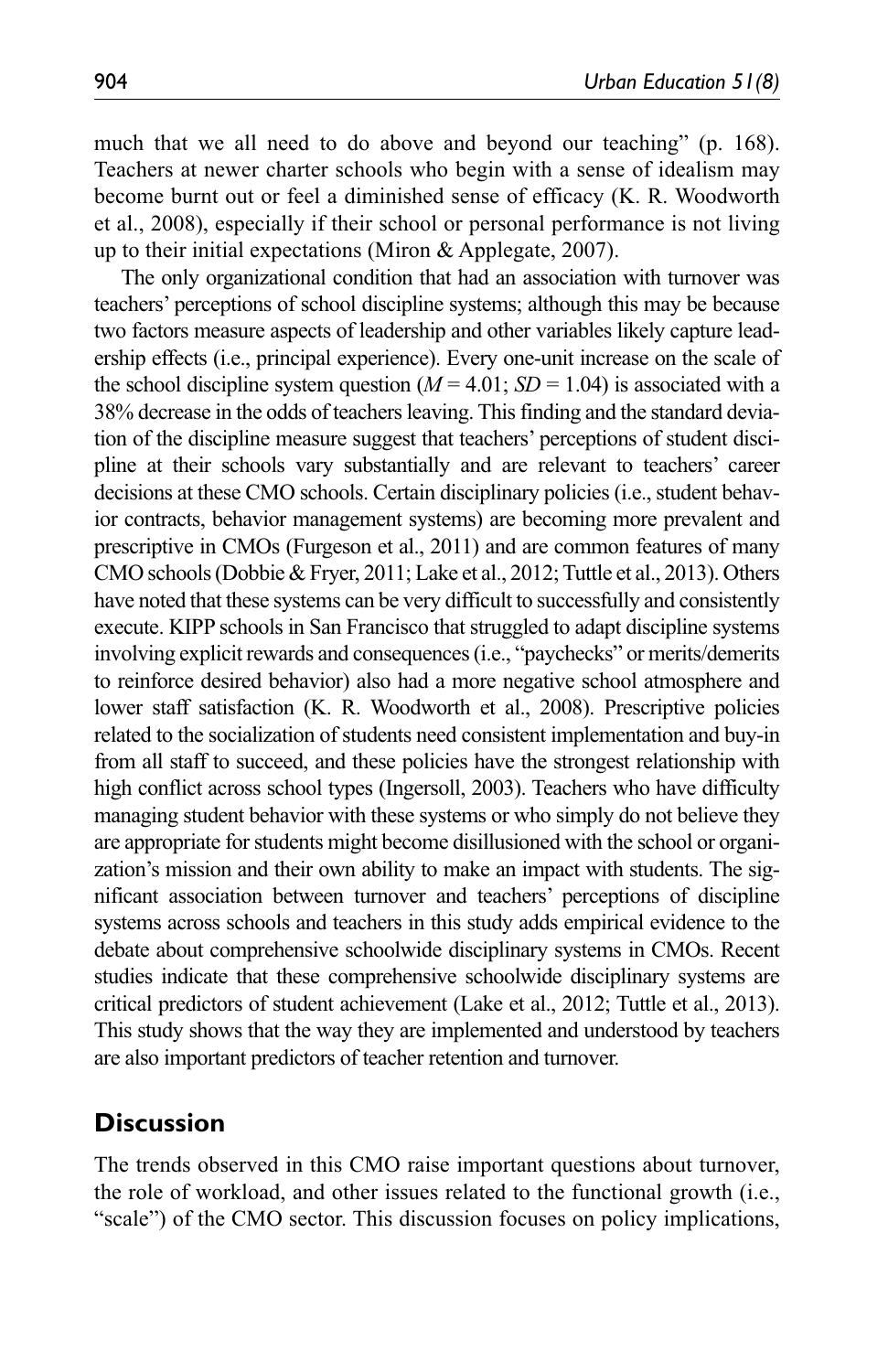much that we all need to do above and beyond our teaching" (p. 168). Teachers at newer charter schools who begin with a sense of idealism may become burnt out or feel a diminished sense of efficacy (K. R. Woodworth et al., 2008), especially if their school or personal performance is not living up to their initial expectations (Miron & Applegate, 2007).

The only organizational condition that had an association with turnover was teachers' perceptions of school discipline systems; although this may be because two factors measure aspects of leadership and other variables likely capture leadership effects (i.e., principal experience). Every one-unit increase on the scale of the school discipline system question  $(M = 4.01; SD = 1.04)$  is associated with a 38% decrease in the odds of teachers leaving. This finding and the standard deviation of the discipline measure suggest that teachers' perceptions of student discipline at their schools vary substantially and are relevant to teachers' career decisions at these CMO schools. Certain disciplinary policies (i.e., student behavior contracts, behavior management systems) are becoming more prevalent and prescriptive in CMOs (Furgeson et al., 2011) and are common features of many CMO schools (Dobbie & Fryer, 2011; Lake et al., 2012; Tuttle et al., 2013). Others have noted that these systems can be very difficult to successfully and consistently execute. KIPP schools in San Francisco that struggled to adapt discipline systems involving explicit rewards and consequences (i.e., "paychecks" or merits/demerits to reinforce desired behavior) also had a more negative school atmosphere and lower staff satisfaction (K. R. Woodworth et al., 2008). Prescriptive policies related to the socialization of students need consistent implementation and buy-in from all staff to succeed, and these policies have the strongest relationship with high conflict across school types (Ingersoll, 2003). Teachers who have difficulty managing student behavior with these systems or who simply do not believe they are appropriate for students might become disillusioned with the school or organization's mission and their own ability to make an impact with students. The significant association between turnover and teachers' perceptions of discipline systems across schools and teachers in this study adds empirical evidence to the debate about comprehensive schoolwide disciplinary systems in CMOs. Recent studies indicate that these comprehensive schoolwide disciplinary systems are critical predictors of student achievement (Lake et al., 2012; Tuttle et al., 2013). This study shows that the way they are implemented and understood by teachers are also important predictors of teacher retention and turnover.

# **Discussion**

The trends observed in this CMO raise important questions about turnover, the role of workload, and other issues related to the functional growth (i.e., "scale") of the CMO sector. This discussion focuses on policy implications,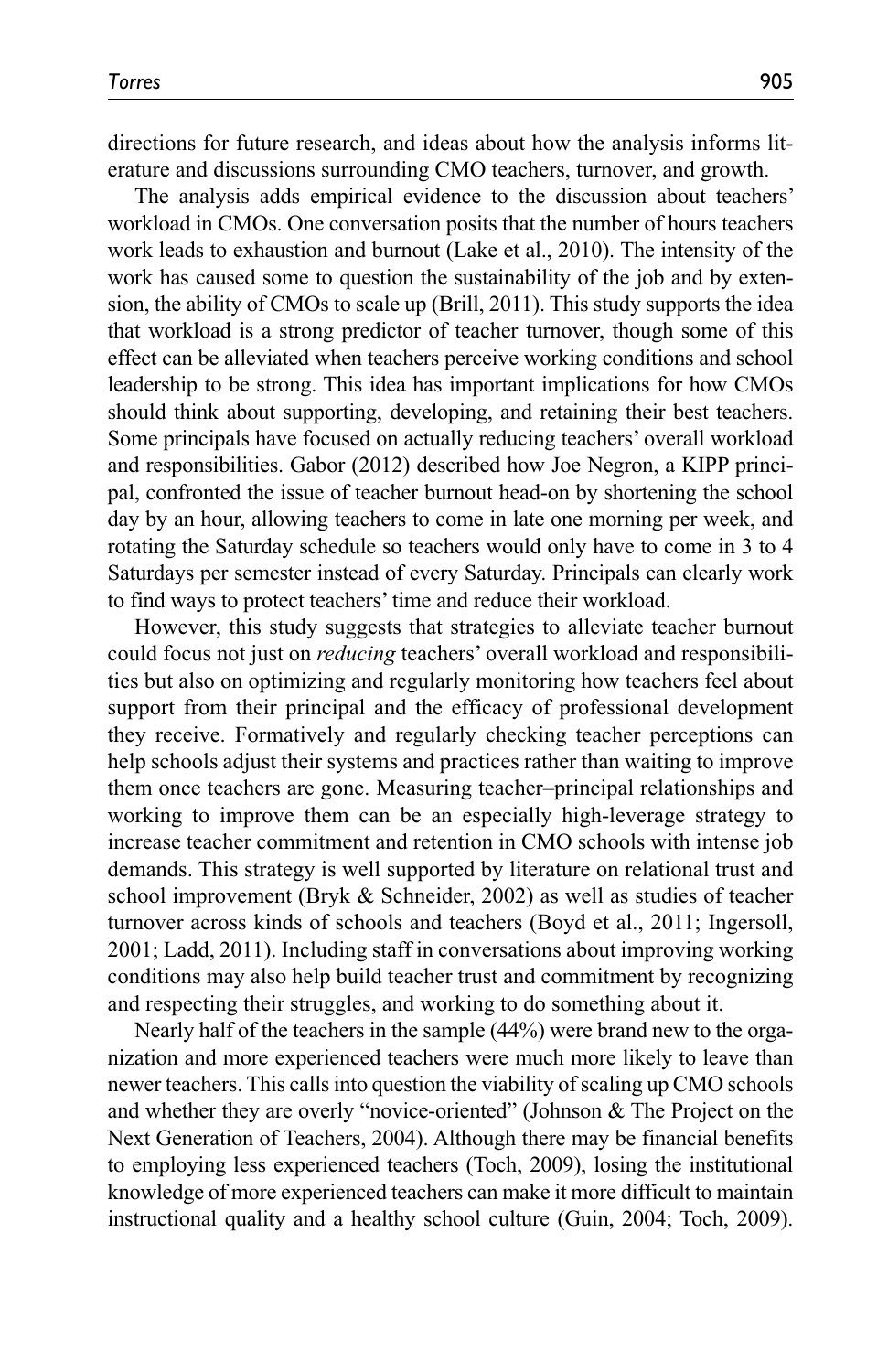directions for future research, and ideas about how the analysis informs literature and discussions surrounding CMO teachers, turnover, and growth.

The analysis adds empirical evidence to the discussion about teachers' workload in CMOs. One conversation posits that the number of hours teachers work leads to exhaustion and burnout (Lake et al., 2010). The intensity of the work has caused some to question the sustainability of the job and by extension, the ability of CMOs to scale up (Brill, 2011). This study supports the idea that workload is a strong predictor of teacher turnover, though some of this effect can be alleviated when teachers perceive working conditions and school leadership to be strong. This idea has important implications for how CMOs should think about supporting, developing, and retaining their best teachers. Some principals have focused on actually reducing teachers' overall workload and responsibilities. Gabor (2012) described how Joe Negron, a KIPP principal, confronted the issue of teacher burnout head-on by shortening the school day by an hour, allowing teachers to come in late one morning per week, and rotating the Saturday schedule so teachers would only have to come in 3 to 4 Saturdays per semester instead of every Saturday. Principals can clearly work to find ways to protect teachers' time and reduce their workload.

However, this study suggests that strategies to alleviate teacher burnout could focus not just on *reducing* teachers' overall workload and responsibilities but also on optimizing and regularly monitoring how teachers feel about support from their principal and the efficacy of professional development they receive. Formatively and regularly checking teacher perceptions can help schools adjust their systems and practices rather than waiting to improve them once teachers are gone. Measuring teacher–principal relationships and working to improve them can be an especially high-leverage strategy to increase teacher commitment and retention in CMO schools with intense job demands. This strategy is well supported by literature on relational trust and school improvement (Bryk & Schneider, 2002) as well as studies of teacher turnover across kinds of schools and teachers (Boyd et al., 2011; Ingersoll, 2001; Ladd, 2011). Including staff in conversations about improving working conditions may also help build teacher trust and commitment by recognizing and respecting their struggles, and working to do something about it.

Nearly half of the teachers in the sample (44%) were brand new to the organization and more experienced teachers were much more likely to leave than newer teachers. This calls into question the viability of scaling up CMO schools and whether they are overly "novice-oriented" (Johnson & The Project on the Next Generation of Teachers, 2004). Although there may be financial benefits to employing less experienced teachers (Toch, 2009), losing the institutional knowledge of more experienced teachers can make it more difficult to maintain instructional quality and a healthy school culture (Guin, 2004; Toch, 2009).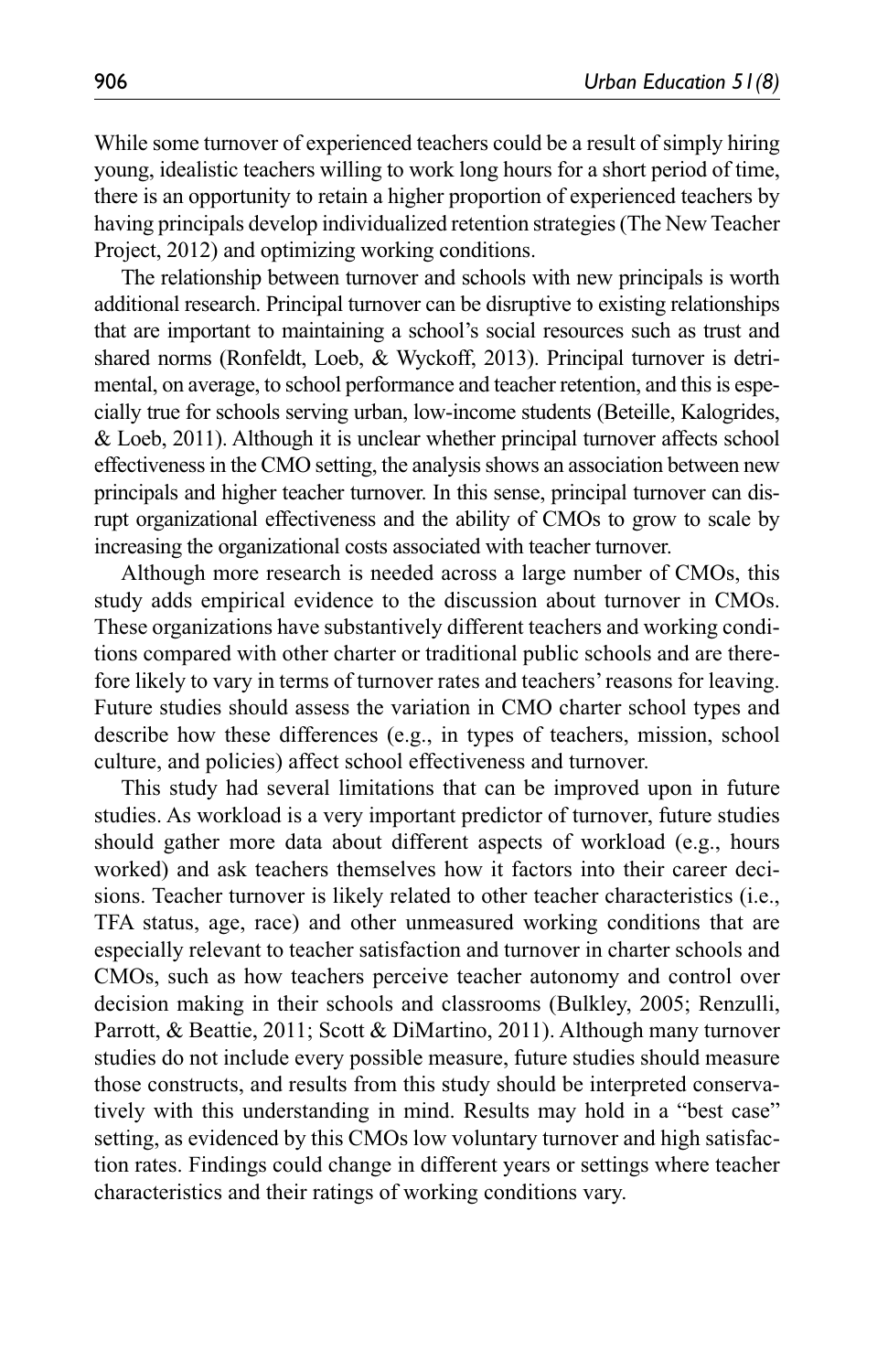While some turnover of experienced teachers could be a result of simply hiring young, idealistic teachers willing to work long hours for a short period of time, there is an opportunity to retain a higher proportion of experienced teachers by having principals develop individualized retention strategies (The New Teacher Project, 2012) and optimizing working conditions.

The relationship between turnover and schools with new principals is worth additional research. Principal turnover can be disruptive to existing relationships that are important to maintaining a school's social resources such as trust and shared norms (Ronfeldt, Loeb, & Wyckoff, 2013). Principal turnover is detrimental, on average, to school performance and teacher retention, and this is especially true for schools serving urban, low-income students (Beteille, Kalogrides, & Loeb, 2011). Although it is unclear whether principal turnover affects school effectiveness in the CMO setting, the analysis shows an association between new principals and higher teacher turnover. In this sense, principal turnover can disrupt organizational effectiveness and the ability of CMOs to grow to scale by increasing the organizational costs associated with teacher turnover.

Although more research is needed across a large number of CMOs, this study adds empirical evidence to the discussion about turnover in CMOs. These organizations have substantively different teachers and working conditions compared with other charter or traditional public schools and are therefore likely to vary in terms of turnover rates and teachers' reasons for leaving. Future studies should assess the variation in CMO charter school types and describe how these differences (e.g., in types of teachers, mission, school culture, and policies) affect school effectiveness and turnover.

This study had several limitations that can be improved upon in future studies. As workload is a very important predictor of turnover, future studies should gather more data about different aspects of workload (e.g., hours worked) and ask teachers themselves how it factors into their career decisions. Teacher turnover is likely related to other teacher characteristics (i.e., TFA status, age, race) and other unmeasured working conditions that are especially relevant to teacher satisfaction and turnover in charter schools and CMOs, such as how teachers perceive teacher autonomy and control over decision making in their schools and classrooms (Bulkley, 2005; Renzulli, Parrott, & Beattie, 2011; Scott & DiMartino, 2011). Although many turnover studies do not include every possible measure, future studies should measure those constructs, and results from this study should be interpreted conservatively with this understanding in mind. Results may hold in a "best case" setting, as evidenced by this CMOs low voluntary turnover and high satisfaction rates. Findings could change in different years or settings where teacher characteristics and their ratings of working conditions vary.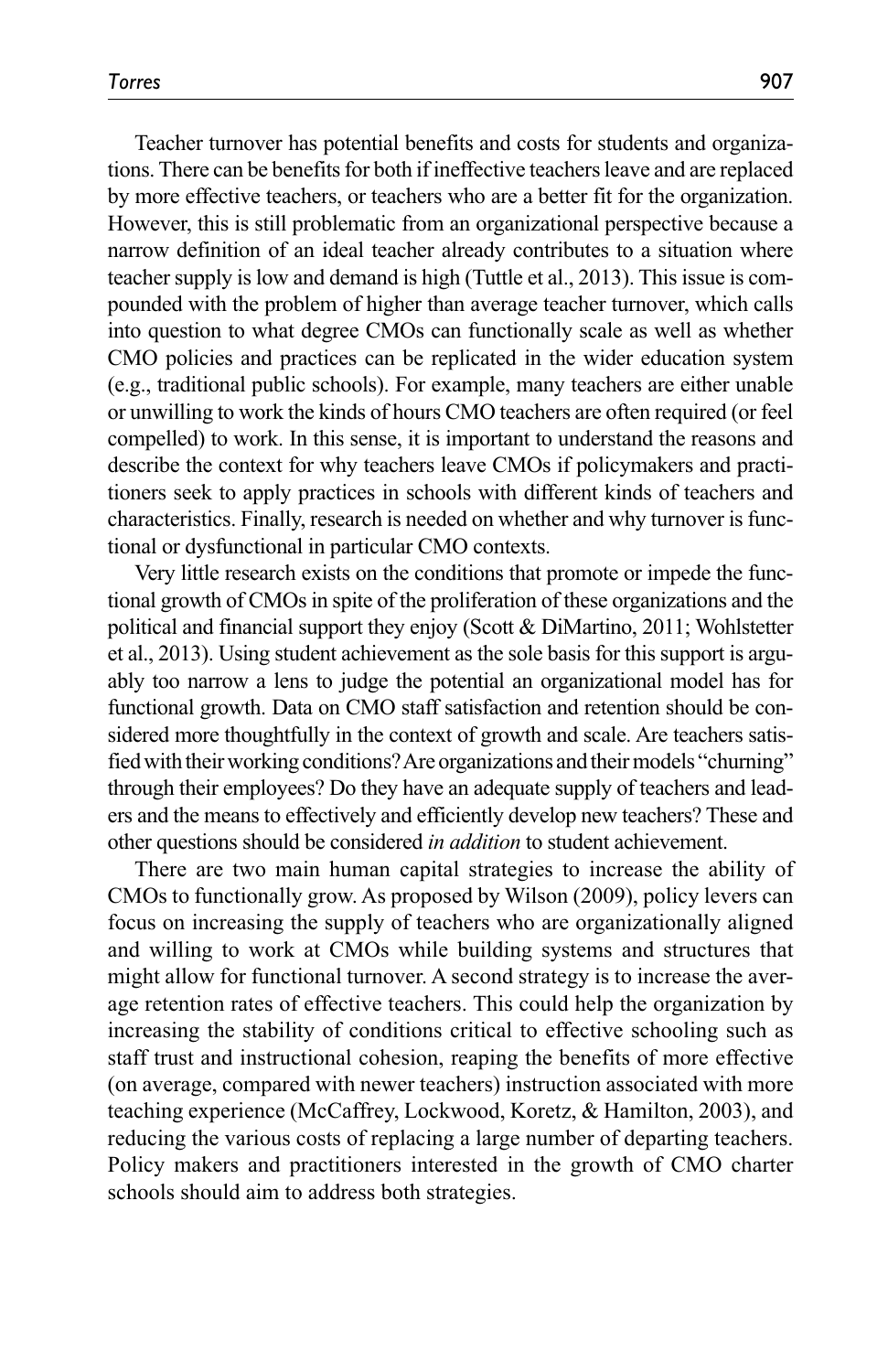Teacher turnover has potential benefits and costs for students and organizations. There can be benefits for both if ineffective teachers leave and are replaced by more effective teachers, or teachers who are a better fit for the organization. However, this is still problematic from an organizational perspective because a narrow definition of an ideal teacher already contributes to a situation where teacher supply is low and demand is high (Tuttle et al., 2013). This issue is compounded with the problem of higher than average teacher turnover, which calls into question to what degree CMOs can functionally scale as well as whether CMO policies and practices can be replicated in the wider education system (e.g., traditional public schools). For example, many teachers are either unable or unwilling to work the kinds of hours CMO teachers are often required (or feel compelled) to work. In this sense, it is important to understand the reasons and describe the context for why teachers leave CMOs if policymakers and practitioners seek to apply practices in schools with different kinds of teachers and characteristics. Finally, research is needed on whether and why turnover is functional or dysfunctional in particular CMO contexts.

Very little research exists on the conditions that promote or impede the functional growth of CMOs in spite of the proliferation of these organizations and the political and financial support they enjoy (Scott & DiMartino, 2011; Wohlstetter et al., 2013). Using student achievement as the sole basis for this support is arguably too narrow a lens to judge the potential an organizational model has for functional growth. Data on CMO staff satisfaction and retention should be considered more thoughtfully in the context of growth and scale. Are teachers satisfied with their working conditions? Are organizations and their models "churning" through their employees? Do they have an adequate supply of teachers and leaders and the means to effectively and efficiently develop new teachers? These and other questions should be considered *in addition* to student achievement.

There are two main human capital strategies to increase the ability of CMOs to functionally grow. As proposed by Wilson (2009), policy levers can focus on increasing the supply of teachers who are organizationally aligned and willing to work at CMOs while building systems and structures that might allow for functional turnover. A second strategy is to increase the average retention rates of effective teachers. This could help the organization by increasing the stability of conditions critical to effective schooling such as staff trust and instructional cohesion, reaping the benefits of more effective (on average, compared with newer teachers) instruction associated with more teaching experience (McCaffrey, Lockwood, Koretz, & Hamilton, 2003), and reducing the various costs of replacing a large number of departing teachers. Policy makers and practitioners interested in the growth of CMO charter schools should aim to address both strategies.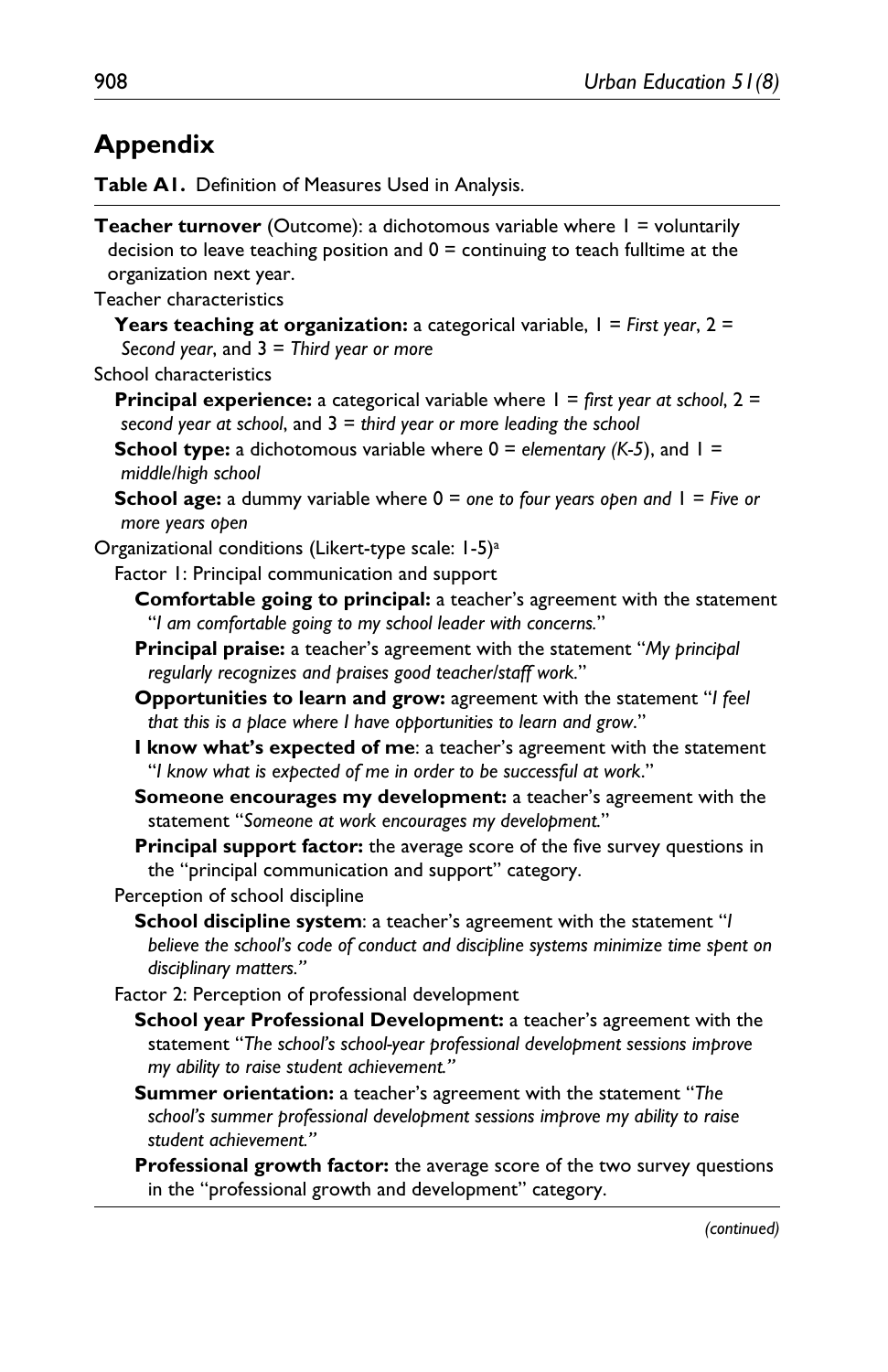# **Appendix**

**Table A1.** Definition of Measures Used in Analysis.

| Teacher turnover (Outcome): a dichotomous variable where I = voluntarily<br>decision to leave teaching position and $0 =$ continuing to teach fulltime at the<br>organization next year.           |
|----------------------------------------------------------------------------------------------------------------------------------------------------------------------------------------------------|
| Teacher characteristics                                                                                                                                                                            |
| <b>Years teaching at organization:</b> a categorical variable, $I = First$ year, $2 =$<br>Second year, and $3 =$ Third year or more                                                                |
| School characteristics                                                                                                                                                                             |
| <b>Principal experience:</b> a categorical variable where $1 =$ first year at school, $2 =$<br>second year at school, and $3 =$ third year or more leading the school                              |
| <b>School type:</b> a dichotomous variable where $0 =$ elementary (K-5), and $1 =$<br>middle/high school                                                                                           |
| <b>School age:</b> a dummy variable where $0 =$ one to four years open and $1 =$ Five or<br>more years open                                                                                        |
| Organizational conditions (Likert-type scale: 1-5) <sup>a</sup>                                                                                                                                    |
| Factor 1: Principal communication and support                                                                                                                                                      |
| Comfortable going to principal: a teacher's agreement with the statement<br>"I am comfortable going to my school leader with concerns."                                                            |
| Principal praise: a teacher's agreement with the statement "My principal<br>regularly recognizes and praises good teacher/staff work."                                                             |
| Opportunities to learn and grow: agreement with the statement "I feel<br>that this is a place where I have opportunities to learn and grow."                                                       |
| I know what's expected of me: a teacher's agreement with the statement<br>"I know what is expected of me in order to be successful at work."                                                       |
| Someone encourages my development: a teacher's agreement with the<br>statement "Someone at work encourages my development."                                                                        |
| Principal support factor: the average score of the five survey questions in<br>the "principal communication and support" category.                                                                 |
| Perception of school discipline                                                                                                                                                                    |
| School discipline system: a teacher's agreement with the statement "I<br>believe the school's code of conduct and discipline systems minimize time spent on<br>disciplinary matters."              |
| Factor 2: Perception of professional development                                                                                                                                                   |
| School year Professional Development: a teacher's agreement with the<br>statement "The school's school-year professional development sessions improve<br>my ability to raise student achievement." |
| Summer orientation: a teacher's agreement with the statement "The<br>school's summer professional development sessions improve my ability to raise<br>student achievement."                        |
| Professional growth factor: the average score of the two survey questions<br>in the "professional growth and development" category.                                                                |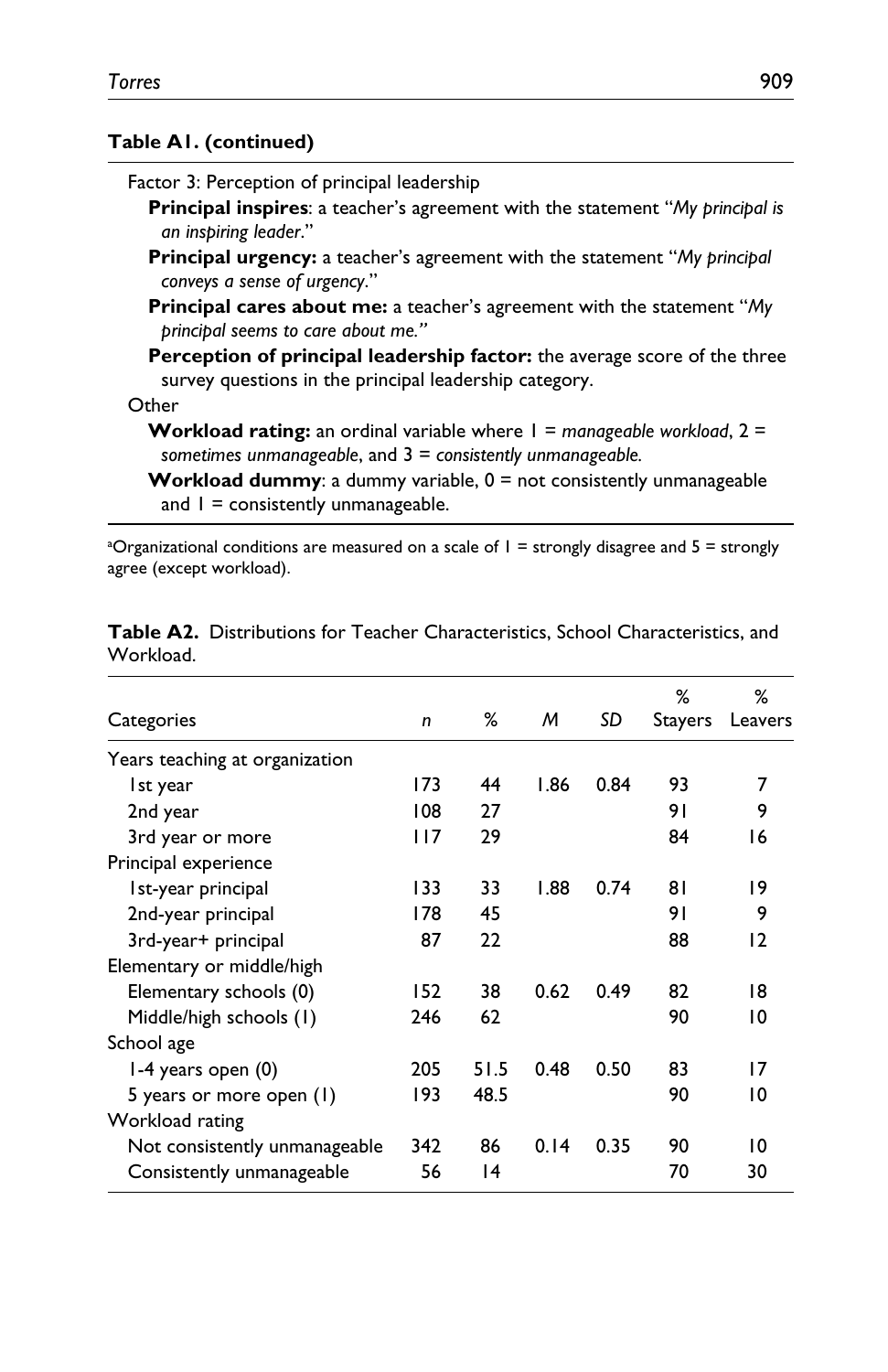### **Table A1. (continued)**

| Factor 3: Perception of principal leadership                                                                                                       |
|----------------------------------------------------------------------------------------------------------------------------------------------------|
| <b>Principal inspires:</b> a teacher's agreement with the statement "My principal is<br>an inspiring leader."                                      |
| <b>Principal urgency:</b> a teacher's agreement with the statement "My principal"<br>conveys a sense of urgency."                                  |
| <b>Principal cares about me:</b> a teacher's agreement with the statement "My<br>principal seems to care about me."                                |
| Perception of principal leadership factor: the average score of the three<br>survey questions in the principal leadership category.                |
| Other                                                                                                                                              |
| <b>Workload rating:</b> an ordinal variable where $I =$ manageable workload, $2 =$<br>sometimes unmanageable, and $3 =$ consistently unmanageable. |
| <b>Workload dummy:</b> a dummy variable, $0 =$ not consistently unmanageable<br>and $I =$ consistently unmanageable.                               |

<sup>a</sup>Organizational conditions are measured on a scale of 1 = strongly disagree and 5 = strongly agree (except workload).

|                                |     |      |      |      | %       | ℅       |
|--------------------------------|-----|------|------|------|---------|---------|
| Categories                     | n   | %    | M    | SD   | Stayers | Leavers |
| Years teaching at organization |     |      |      |      |         |         |
| Ist year                       | 173 | 44   | 1.86 | 0.84 | 93      | 7       |
| 2nd year                       | 108 | 27   |      |      | 91      | 9       |
| 3rd year or more               | 117 | 29   |      |      | 84      | 16      |
| Principal experience           |     |      |      |      |         |         |
| Ist-year principal             | 133 | 33   | 1.88 | 0.74 | 81      | 19      |
| 2nd-year principal             | 178 | 45   |      |      | 91      | 9       |
| 3rd-year+ principal            | 87  | 22   |      |      | 88      | 12      |
| Elementary or middle/high      |     |      |      |      |         |         |
| Elementary schools (0)         | 152 | 38   | 0.62 | 0.49 | 82      | 18      |
| Middle/high schools (1)        | 246 | 62   |      |      | 90      | 10      |
| School age                     |     |      |      |      |         |         |
| $1-4$ years open $(0)$         | 205 | 51.5 | 0.48 | 0.50 | 83      | 17      |
| 5 years or more open (1)       | 193 | 48.5 |      |      | 90      | 10      |
| Workload rating                |     |      |      |      |         |         |
| Not consistently unmanageable  | 342 | 86   | 0.14 | 0.35 | 90      | 10      |
| Consistently unmanageable      | 56  | 14   |      |      | 70      | 30      |

**Table A2.** Distributions for Teacher Characteristics, School Characteristics, and Workload.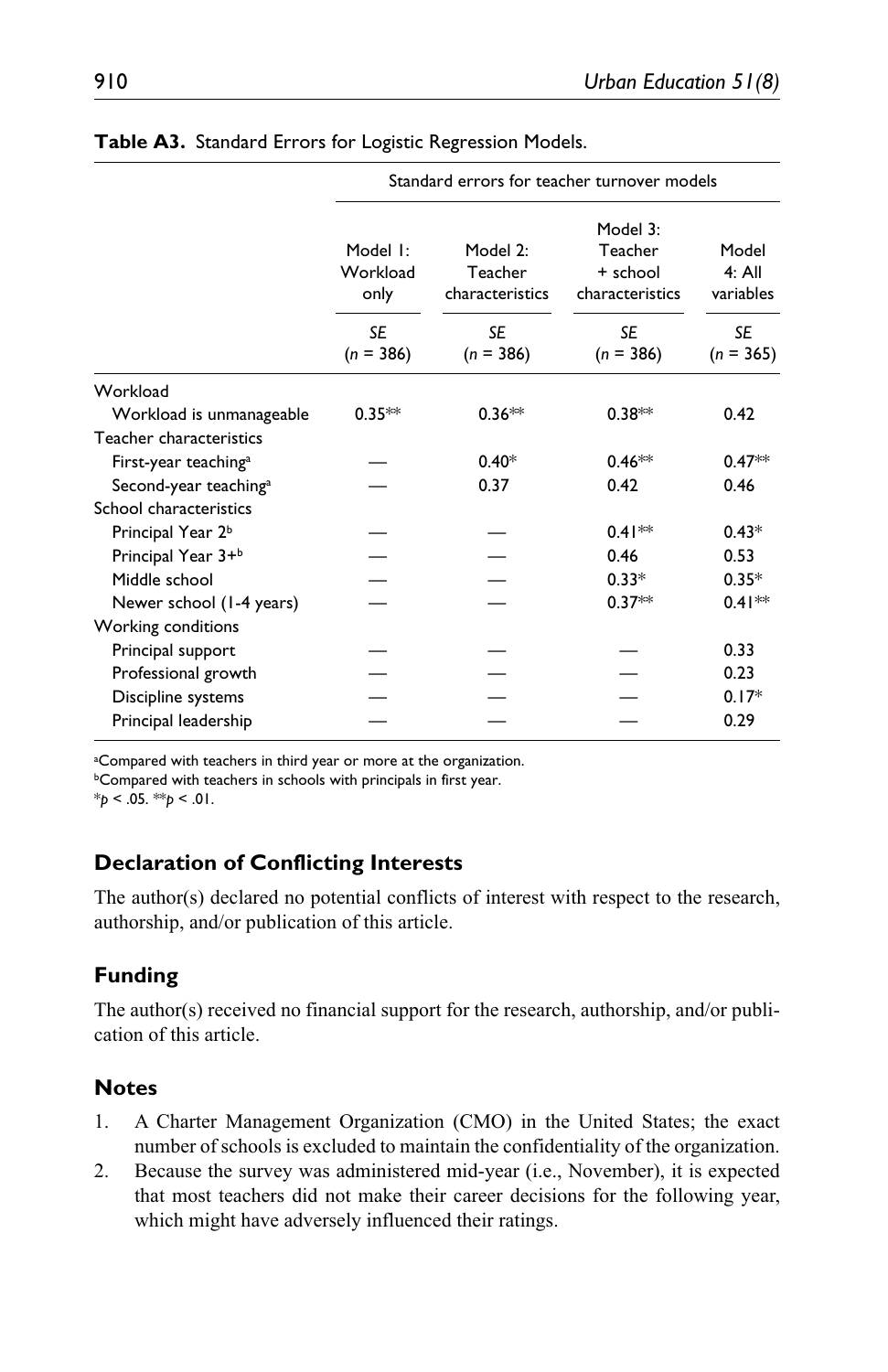|                                   | Standard errors for teacher turnover models |                                        |                                                    |                                |  |  |
|-----------------------------------|---------------------------------------------|----------------------------------------|----------------------------------------------------|--------------------------------|--|--|
|                                   | Model I:<br>Workload<br>only                | Model 2:<br>Teacher<br>characteristics | Model 3:<br>Teacher<br>+ school<br>characteristics | Model<br>$4:$ All<br>variables |  |  |
|                                   | <b>SE</b><br>$(n = 386)$                    | <b>SE</b><br>$(n = 386)$               | <b>SE</b><br>$(n = 386)$                           | SE<br>$(n = 365)$              |  |  |
| Workload                          |                                             |                                        |                                                    |                                |  |  |
| Workload is unmanageable          | $0.35**$                                    | $0.36**$                               | $0.38**$                                           | 0.42                           |  |  |
| Teacher characteristics           |                                             |                                        |                                                    |                                |  |  |
| First-year teaching <sup>a</sup>  |                                             | $0.40*$                                | $0.46**$                                           | $0.47**$                       |  |  |
| Second-year teaching <sup>a</sup> |                                             | 0.37                                   | 0.42                                               | 0.46                           |  |  |
| School characteristics            |                                             |                                        |                                                    |                                |  |  |
| Principal Year 2 <sup>b</sup>     |                                             |                                        | $0.41**$                                           | $0.43*$                        |  |  |
| Principal Year 3+ <sup>b</sup>    |                                             |                                        | 0.46                                               | 0.53                           |  |  |
| Middle school                     |                                             |                                        | $0.33*$                                            | $0.35*$                        |  |  |
| Newer school (1-4 years)          |                                             |                                        | $0.37**$                                           | $0.41**$                       |  |  |
| Working conditions                |                                             |                                        |                                                    |                                |  |  |
| Principal support                 |                                             |                                        |                                                    | 0.33                           |  |  |
| Professional growth               |                                             |                                        |                                                    | 0.23                           |  |  |
| Discipline systems                |                                             |                                        |                                                    | $0.17*$                        |  |  |
| Principal leadership              |                                             |                                        |                                                    | 0.29                           |  |  |

|  |  |  |  |  | Table A3. Standard Errors for Logistic Regression Models. |  |
|--|--|--|--|--|-----------------------------------------------------------|--|
|--|--|--|--|--|-----------------------------------------------------------|--|

<sup>a</sup>Compared with teachers in third year or more at the organization. **bCompared with teachers in schools with principals in first year.** 

\**p* < .05. \*\**p* < .01.

### **Declaration of Conflicting Interests**

The author(s) declared no potential conflicts of interest with respect to the research, authorship, and/or publication of this article.

## **Funding**

The author(s) received no financial support for the research, authorship, and/or publication of this article.

### **Notes**

- 1. A Charter Management Organization (CMO) in the United States; the exact number of schools is excluded to maintain the confidentiality of the organization.
- 2. Because the survey was administered mid-year (i.e., November), it is expected that most teachers did not make their career decisions for the following year, which might have adversely influenced their ratings.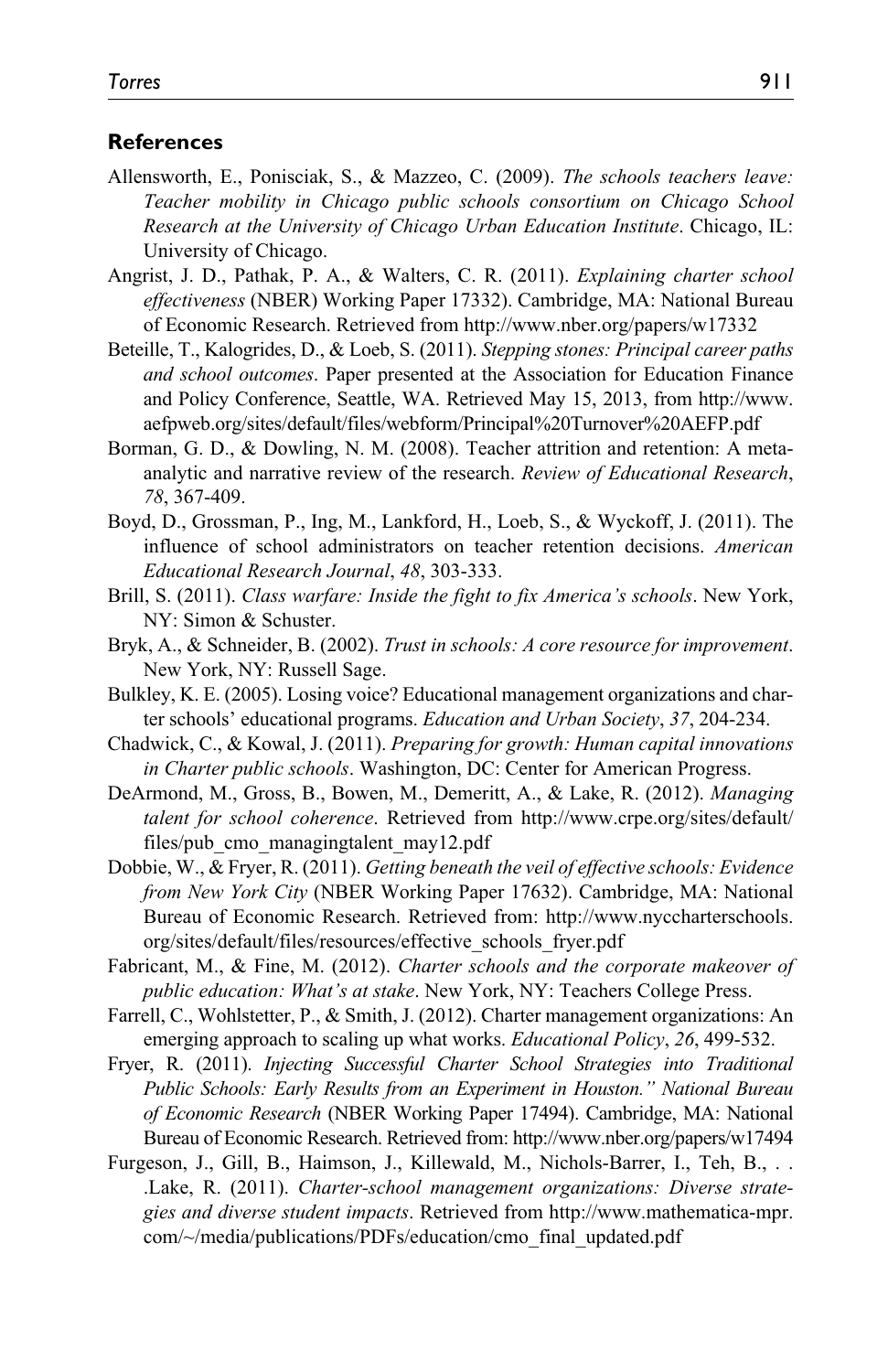#### **References**

- Allensworth, E., Ponisciak, S., & Mazzeo, C. (2009). *The schools teachers leave: Teacher mobility in Chicago public schools consortium on Chicago School Research at the University of Chicago Urban Education Institute*. Chicago, IL: University of Chicago.
- Angrist, J. D., Pathak, P. A., & Walters, C. R. (2011). *Explaining charter school effectiveness* (NBER) Working Paper 17332). Cambridge, MA: National Bureau of Economic Research. Retrieved from <http://www.nber.org/papers/w17332>
- Beteille, T., Kalogrides, D., & Loeb, S. (2011). *Stepping stones: Principal career paths and school outcomes*. Paper presented at the Association for Education Finance and Policy Conference, Seattle, WA. Retrieved May 15, 2013, from [http://www.](http://www.aefpweb.org/sites/default/files/webform/Principal%20Turnover%20AEFP.pdf) [aefpweb.org/sites/default/files/webform/Principal%20Turnover%20AEFP.pdf](http://www.aefpweb.org/sites/default/files/webform/Principal%20Turnover%20AEFP.pdf)
- Borman, G. D., & Dowling, N. M. (2008). Teacher attrition and retention: A metaanalytic and narrative review of the research. *Review of Educational Research*, *78*, 367-409.
- Boyd, D., Grossman, P., Ing, M., Lankford, H., Loeb, S., & Wyckoff, J. (2011). The influence of school administrators on teacher retention decisions. *American Educational Research Journal*, *48*, 303-333.
- Brill, S. (2011). *Class warfare: Inside the fight to fix America's schools*. New York, NY: Simon & Schuster.
- Bryk, A., & Schneider, B. (2002). *Trust in schools: A core resource for improvement*. New York, NY: Russell Sage.
- Bulkley, K. E. (2005). Losing voice? Educational management organizations and charter schools' educational programs. *Education and Urban Society*, *37*, 204-234.
- Chadwick, C., & Kowal, J. (2011). *Preparing for growth: Human capital innovations in Charter public schools*. Washington, DC: Center for American Progress.
- DeArmond, M., Gross, B., Bowen, M., Demeritt, A., & Lake, R. (2012). *Managing talent for school coherence*. Retrieved from [http://www.crpe.org/sites/default/](http://www.crpe.org/sites/default/files/pub_cmo_managingtalent_may12.pdf) [files/pub\\_cmo\\_managingtalent\\_may12.pdf](http://www.crpe.org/sites/default/files/pub_cmo_managingtalent_may12.pdf)
- Dobbie, W., & Fryer, R. (2011). *Getting beneath the veil of effective schools: Evidence from New York City* (NBER Working Paper 17632). Cambridge, MA: National Bureau of Economic Research. Retrieved from: [http://www.nyccharterschools.](http://www.nyccharterschools.org/sites/default/files/resources/effective_schools_fryer.pdf) [org/sites/default/files/resources/effective\\_schools\\_fryer.pdf](http://www.nyccharterschools.org/sites/default/files/resources/effective_schools_fryer.pdf)
- Fabricant, M., & Fine, M. (2012). *Charter schools and the corporate makeover of public education: What's at stake*. New York, NY: Teachers College Press.
- Farrell, C., Wohlstetter, P., & Smith, J. (2012). Charter management organizations: An emerging approach to scaling up what works. *Educational Policy*, *26*, 499-532.
- Fryer, R. (2011). *Injecting Successful Charter School Strategies into Traditional Public Schools: Early Results from an Experiment in Houston." National Bureau of Economic Research* (NBER Working Paper 17494). Cambridge, MA: National Bureau of Economic Research. Retrieved from:<http://www.nber.org/papers/w17494>
- Furgeson, J., Gill, B., Haimson, J., Killewald, M., Nichols-Barrer, I., Teh, B., . . .Lake, R. (2011). *Charter-school management organizations: Diverse strategies and diverse student impacts*. Retrieved from [http://www.mathematica-mpr.](http://www.mathematica-mpr.com/~/media/publications/PDFs/education/cmo_final_updated.pdf) [com/~/media/publications/PDFs/education/cmo\\_final\\_updated.pdf](http://www.mathematica-mpr.com/~/media/publications/PDFs/education/cmo_final_updated.pdf)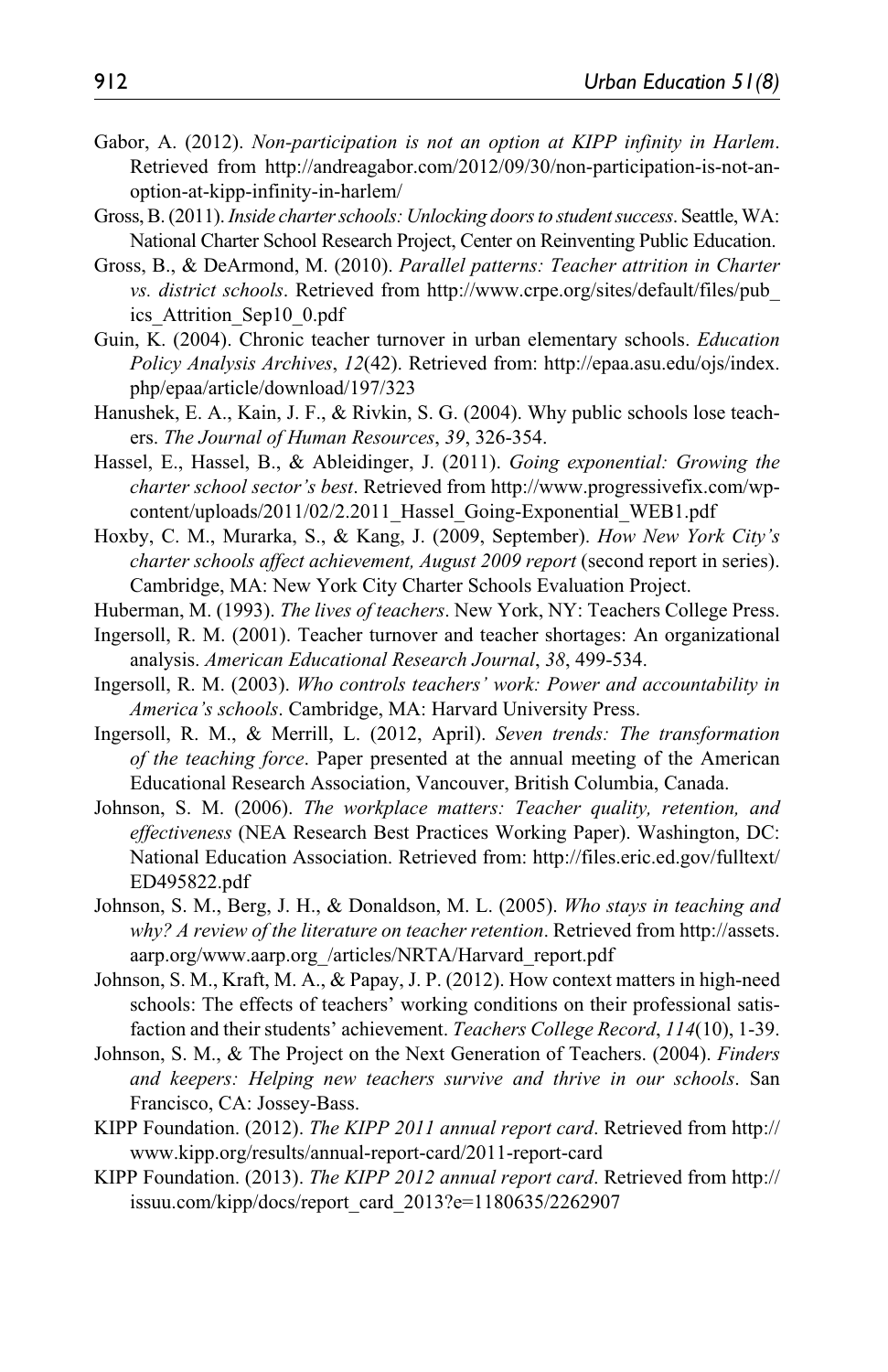- Gabor, A. (2012). *Non-participation is not an option at KIPP infinity in Harlem*. Retrieved from [http://andreagabor.com/2012/09/30/non-participation-is-not-an](http://andreagabor.com/2012/09/30/non-participation-is-not-an-option-at-kipp-infinity-in-harlem/)[option-at-kipp-infinity-in-harlem/](http://andreagabor.com/2012/09/30/non-participation-is-not-an-option-at-kipp-infinity-in-harlem/)
- Gross, B. (2011). *Inside charter schools: Unlocking doors to student success*. Seattle, WA: National Charter School Research Project, Center on Reinventing Public Education.
- Gross, B., & DeArmond, M. (2010). *Parallel patterns: Teacher attrition in Charter vs. district schools*. Retrieved from [http://www.crpe.org/sites/default/files/pub\\_](http://www.crpe.org/sites/default/files/pub_ics_Attrition_Sep10_0.pdf) [ics\\_Attrition\\_Sep10\\_0.pdf](http://www.crpe.org/sites/default/files/pub_ics_Attrition_Sep10_0.pdf)
- Guin, K. (2004). Chronic teacher turnover in urban elementary schools. *Education Policy Analysis Archives*, *12*(42). Retrieved from: [http://epaa.asu.edu/ojs/index.](http://epaa.asu.edu/ojs/index.php/epaa/article/download/197/323) [php/epaa/article/download/197/323](http://epaa.asu.edu/ojs/index.php/epaa/article/download/197/323)
- Hanushek, E. A., Kain, J. F., & Rivkin, S. G. (2004). Why public schools lose teachers. *The Journal of Human Resources*, *39*, 326-354.
- Hassel, E., Hassel, B., & Ableidinger, J. (2011). *Going exponential: Growing the charter school sector's best*. Retrieved from [http://www.progressivefix.com/wp](http://www.progressivefix.com/wp-content/uploads/2011/02/2.2011_Hassel_Going-Exponential_WEB1.pdf)[content/uploads/2011/02/2.2011\\_Hassel\\_Going-Exponential\\_WEB1.pdf](http://www.progressivefix.com/wp-content/uploads/2011/02/2.2011_Hassel_Going-Exponential_WEB1.pdf)
- Hoxby, C. M., Murarka, S., & Kang, J. (2009, September). *How New York City's charter schools affect achievement, August 2009 report* (second report in series). Cambridge, MA: New York City Charter Schools Evaluation Project.
- Huberman, M. (1993). *The lives of teachers*. New York, NY: Teachers College Press.
- Ingersoll, R. M. (2001). Teacher turnover and teacher shortages: An organizational analysis. *American Educational Research Journal*, *38*, 499-534.
- Ingersoll, R. M. (2003). *Who controls teachers' work: Power and accountability in America's schools*. Cambridge, MA: Harvard University Press.
- Ingersoll, R. M., & Merrill, L. (2012, April). *Seven trends: The transformation of the teaching force*. Paper presented at the annual meeting of the American Educational Research Association, Vancouver, British Columbia, Canada.
- Johnson, S. M. (2006). *The workplace matters: Teacher quality, retention, and effectiveness* (NEA Research Best Practices Working Paper). Washington, DC: National Education Association. Retrieved from: [http://files.eric.ed.gov/fulltext/](http://files.eric.ed.gov/fulltext/ED495822.pdf) [ED495822.pdf](http://files.eric.ed.gov/fulltext/ED495822.pdf)
- Johnson, S. M., Berg, J. H., & Donaldson, M. L. (2005). *Who stays in teaching and why? A review of the literature on teacher retention*. Retrieved from [http://assets.](http://assets.aarp.org/www.aarp.org_/articles/NRTA/Harvard_report.pdf) aarp.org/www.aarp.org /articles/NRTA/Harvard\_report.pdf
- Johnson, S. M., Kraft, M. A., & Papay, J. P. (2012). How context matters in high-need schools: The effects of teachers' working conditions on their professional satisfaction and their students' achievement. *Teachers College Record*, *114*(10), 1-39.
- Johnson, S. M., & The Project on the Next Generation of Teachers. (2004). *Finders and keepers: Helping new teachers survive and thrive in our schools*. San Francisco, CA: Jossey-Bass.
- KIPP Foundation. (2012). *The KIPP 2011 annual report card*. Retrieved from [http://](http://www.kipp.org/results/annual-report-card/2011-report-card) [www.kipp.org/results/annual-report-card/2011-report-card](http://www.kipp.org/results/annual-report-card/2011-report-card)
- KIPP Foundation. (2013). *The KIPP 2012 annual report card*. Retrieved from [http://](http://issuu.com/kipp/docs/report_card_2013?e=1180635/2262907) [issuu.com/kipp/docs/report\\_card\\_2013?e=1180635/2262907](http://issuu.com/kipp/docs/report_card_2013?e=1180635/2262907)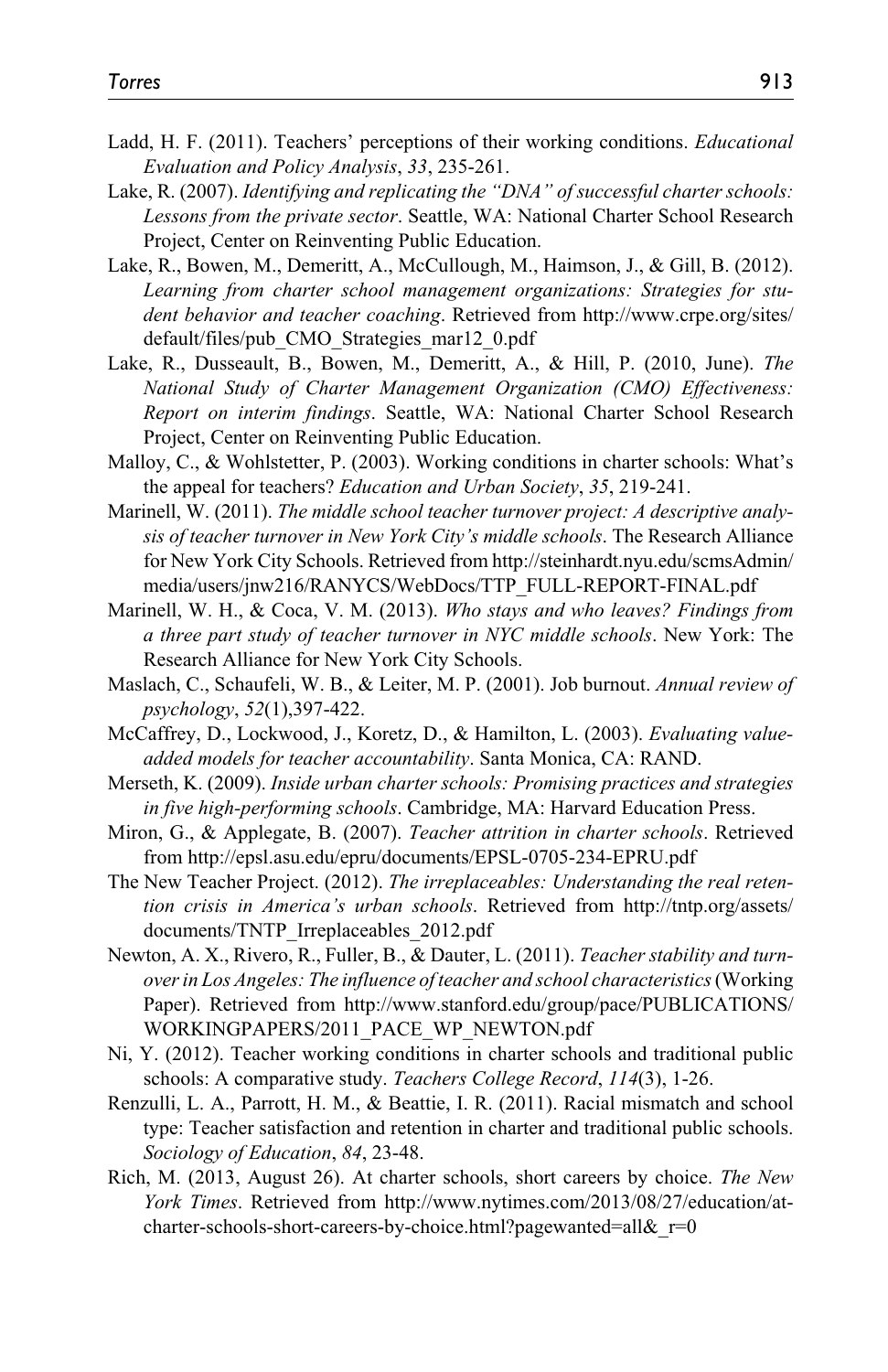- Ladd, H. F. (2011). Teachers' perceptions of their working conditions. *Educational Evaluation and Policy Analysis*, *33*, 235-261.
- Lake, R. (2007). *Identifying and replicating the "DNA" of successful charter schools: Lessons from the private sector*. Seattle, WA: National Charter School Research Project, Center on Reinventing Public Education.
- Lake, R., Bowen, M., Demeritt, A., McCullough, M., Haimson, J., & Gill, B. (2012). *Learning from charter school management organizations: Strategies for student behavior and teacher coaching*. Retrieved from [http://www.crpe.org/sites/](http://www.crpe.org/sites/default/files/pub_CMO_Strategies_mar12_0.pdf) [default/files/pub\\_CMO\\_Strategies\\_mar12\\_0.pdf](http://www.crpe.org/sites/default/files/pub_CMO_Strategies_mar12_0.pdf)
- Lake, R., Dusseault, B., Bowen, M., Demeritt, A., & Hill, P. (2010, June). *The National Study of Charter Management Organization (CMO) Effectiveness: Report on interim findings*. Seattle, WA: National Charter School Research Project, Center on Reinventing Public Education.
- Malloy, C., & Wohlstetter, P. (2003). Working conditions in charter schools: What's the appeal for teachers? *Education and Urban Society*, *35*, 219-241.
- Marinell, W. (2011). *The middle school teacher turnover project: A descriptive analysis of teacher turnover in New York City's middle schools*. The Research Alliance for New York City Schools. Retrieved from [http://steinhardt.nyu.edu/scmsAdmin/](http://steinhardt.nyu.edu/scmsAdmin/media/users/jnw216/RANYCS/WebDocs/TTP_FULL-REPORT-FINAL.pdf) [media/users/jnw216/RANYCS/WebDocs/TTP\\_FULL-REPORT-FINAL.pdf](http://steinhardt.nyu.edu/scmsAdmin/media/users/jnw216/RANYCS/WebDocs/TTP_FULL-REPORT-FINAL.pdf)
- Marinell, W. H., & Coca, V. M. (2013). *Who stays and who leaves? Findings from a three part study of teacher turnover in NYC middle schools*. New York: The Research Alliance for New York City Schools.
- Maslach, C., Schaufeli, W. B., & Leiter, M. P. (2001). Job burnout. *Annual review of psychology*, *52*(1),397-422.
- McCaffrey, D., Lockwood, J., Koretz, D., & Hamilton, L. (2003). *Evaluating valueadded models for teacher accountability*. Santa Monica, CA: RAND.
- Merseth, K. (2009). *Inside urban charter schools: Promising practices and strategies in five high-performing schools*. Cambridge, MA: Harvard Education Press.
- Miron, G., & Applegate, B. (2007). *Teacher attrition in charter schools*. Retrieved from <http://epsl.asu.edu/epru/documents/EPSL-0705-234-EPRU.pdf>
- The New Teacher Project. (2012). *The irreplaceables: Understanding the real retention crisis in America's urban schools*. Retrieved from [http://tntp.org/assets/](http://tntp.org/assets/documents/TNTP_Irreplaceables_2012.pdf) [documents/TNTP\\_Irreplaceables\\_2012.pdf](http://tntp.org/assets/documents/TNTP_Irreplaceables_2012.pdf)
- Newton, A. X., Rivero, R., Fuller, B., & Dauter, L. (2011). *Teacher stability and turnover in Los Angeles: The influence of teacher and school characteristics* (Working Paper). Retrieved from [http://www.stanford.edu/group/pace/PUBLICATIONS/](http://www.stanford.edu/group/pace/PUBLICATIONS/WORKINGPAPERS/2011_PACE_WP_NEWTON.pdf) [WORKINGPAPERS/2011\\_PACE\\_WP\\_NEWTON.pdf](http://www.stanford.edu/group/pace/PUBLICATIONS/WORKINGPAPERS/2011_PACE_WP_NEWTON.pdf)
- Ni, Y. (2012). Teacher working conditions in charter schools and traditional public schools: A comparative study. *Teachers College Record*, *114*(3), 1-26.
- Renzulli, L. A., Parrott, H. M., & Beattie, I. R. (2011). Racial mismatch and school type: Teacher satisfaction and retention in charter and traditional public schools. *Sociology of Education*, *84*, 23-48.
- Rich, M. (2013, August 26). At charter schools, short careers by choice. *The New York Times*. Retrieved from [http://www.nytimes.com/2013/08/27/education/at](http://www.nytimes.com/2013/08/27/education/at-charter-schools-short-careers-by-choice.html?pagewanted=all&_r=0)charter-schools-short-careers-by-choice.html?pagewanted=all& r=0